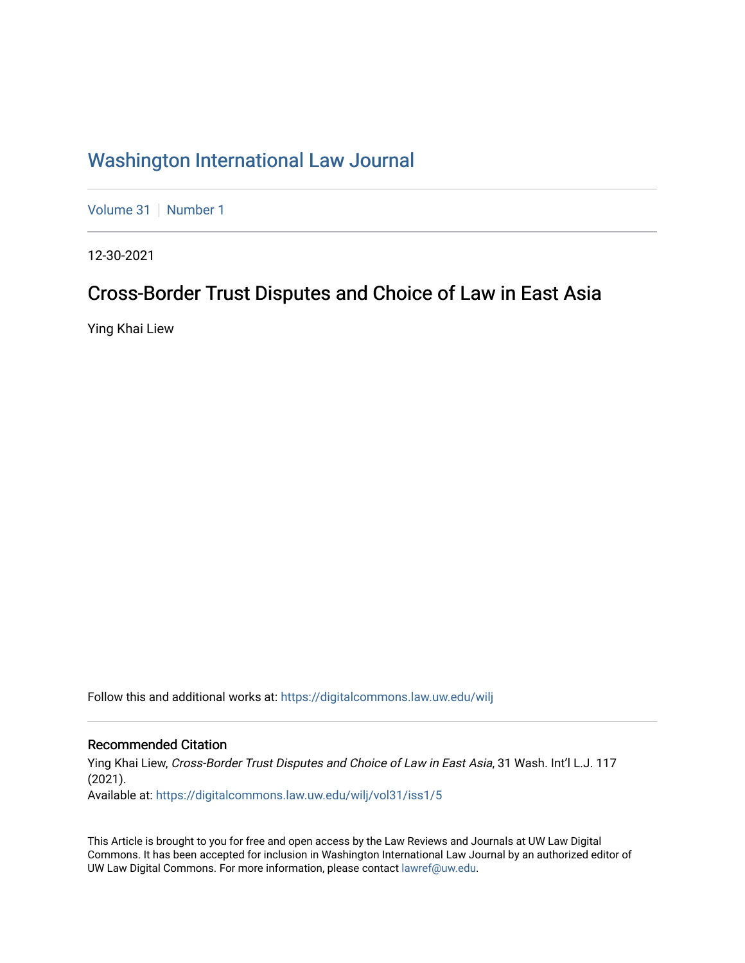# [Washington International Law Journal](https://digitalcommons.law.uw.edu/wilj)

[Volume 31](https://digitalcommons.law.uw.edu/wilj/vol31) | [Number 1](https://digitalcommons.law.uw.edu/wilj/vol31/iss1)

12-30-2021

# Cross-Border Trust Disputes and Choice of Law in East Asia

Ying Khai Liew

Follow this and additional works at: [https://digitalcommons.law.uw.edu/wilj](https://digitalcommons.law.uw.edu/wilj?utm_source=digitalcommons.law.uw.edu%2Fwilj%2Fvol31%2Fiss1%2F5&utm_medium=PDF&utm_campaign=PDFCoverPages) 

#### Recommended Citation

Ying Khai Liew, Cross-Border Trust Disputes and Choice of Law in East Asia, 31 Wash. Int'l L.J. 117 (2021). Available at: [https://digitalcommons.law.uw.edu/wilj/vol31/iss1/5](https://digitalcommons.law.uw.edu/wilj/vol31/iss1/5?utm_source=digitalcommons.law.uw.edu%2Fwilj%2Fvol31%2Fiss1%2F5&utm_medium=PDF&utm_campaign=PDFCoverPages) 

This Article is brought to you for free and open access by the Law Reviews and Journals at UW Law Digital Commons. It has been accepted for inclusion in Washington International Law Journal by an authorized editor of UW Law Digital Commons. For more information, please contact [lawref@uw.edu](mailto:lawref@uw.edu).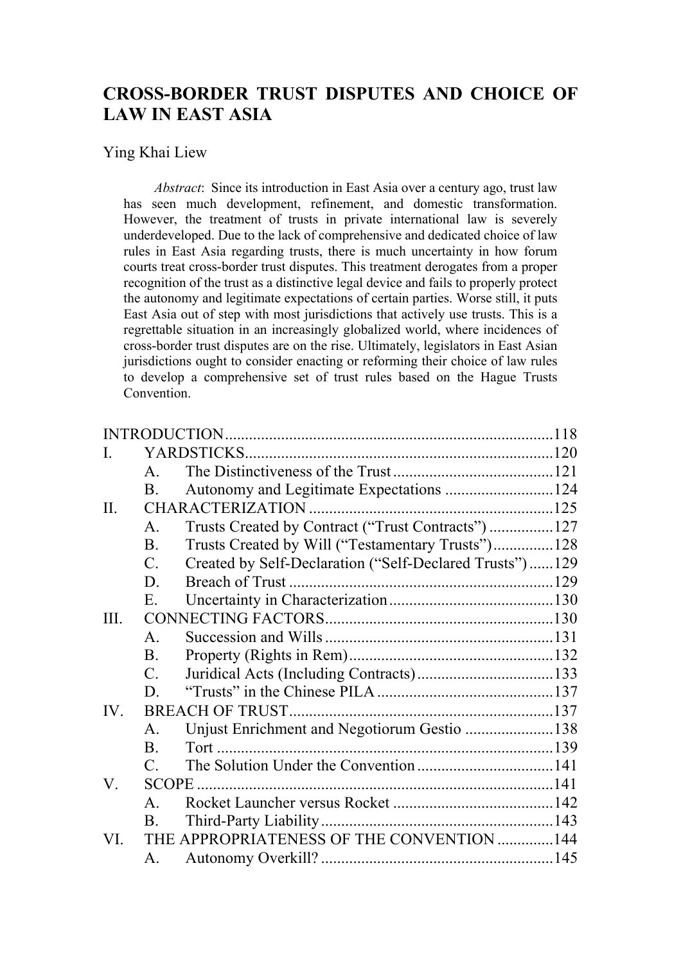# **CROSS-BORDER TRUST DISPUTES AND CHOICE OF LAW IN EAST ASIA**

#### Ying Khai Liew

*Abstract*: Since its introduction in East Asia over a century ago, trust law has seen much development, refinement, and domestic transformation. However, the treatment of trusts in private international law is severely underdeveloped. Due to the lack of comprehensive and dedicated choice of law rules in East Asia regarding trusts, there is much uncertainty in how forum courts treat cross-border trust disputes. This treatment derogates from a proper recognition of the trust as a distinctive legal device and fails to properly protect the autonomy and legitimate expectations of certain parties. Worse still, it puts East Asia out of step with most jurisdictions that actively use trusts. This is a regrettable situation in an increasingly globalized world, where incidences of cross-border trust disputes are on the rise. Ultimately, legislators in East Asian jurisdictions ought to consider enacting or reforming their choice of law rules to develop a comprehensive set of trust rules based on the Hague Trusts **Convention** 

| L.   |                |                                                         |  |
|------|----------------|---------------------------------------------------------|--|
|      | $\mathsf{A}$ . |                                                         |  |
|      | <b>B.</b>      | Autonomy and Legitimate Expectations 124                |  |
| II.  |                |                                                         |  |
|      | $\mathsf{A}$ . | Trusts Created by Contract ("Trust Contracts") 127      |  |
|      | <b>B.</b>      | Trusts Created by Will ("Testamentary Trusts")128       |  |
|      | $C_{\cdot}$    | Created by Self-Declaration ("Self-Declared Trusts")129 |  |
|      | D.             |                                                         |  |
|      | E.             |                                                         |  |
| III. |                |                                                         |  |
|      | $\mathsf{A}$ . |                                                         |  |
|      | <b>B.</b>      |                                                         |  |
|      | $C_{\cdot}$    |                                                         |  |
|      | D.             |                                                         |  |
| IV.  |                |                                                         |  |
|      | $\mathsf{A}$ . | Unjust Enrichment and Negotiorum Gestio 138             |  |
|      | $\mathbf{B}$ . |                                                         |  |
|      | $\mathsf{C}$   |                                                         |  |
| V.   |                |                                                         |  |
|      | $\mathsf{A}$ . |                                                         |  |
|      | B.             |                                                         |  |
| VI.  |                | THE APPROPRIATENESS OF THE CONVENTION 144               |  |
|      | А.             |                                                         |  |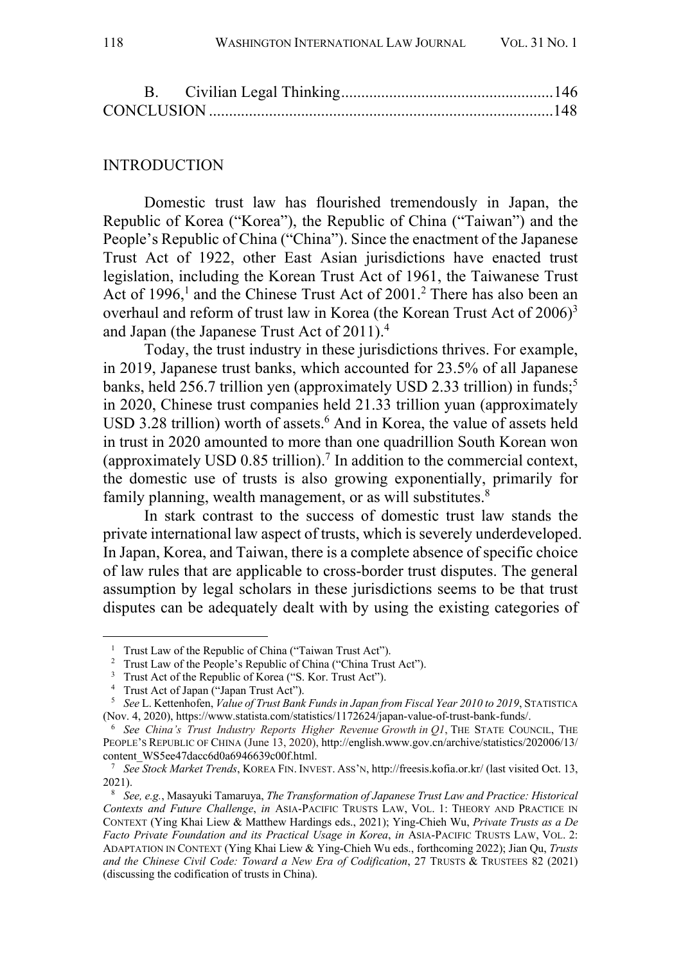#### INTRODUCTION

Domestic trust law has flourished tremendously in Japan, the Republic of Korea ("Korea"), the Republic of China ("Taiwan") and the People's Republic of China ("China"). Since the enactment of the Japanese Trust Act of 1922, other East Asian jurisdictions have enacted trust legislation, including the Korean Trust Act of 1961, the Taiwanese Trust Act of 1996,<sup>1</sup> and the Chinese Trust Act of 2001.<sup>2</sup> There has also been an overhaul and reform of trust law in Korea (the Korean Trust Act of 2006)<sup>3</sup> and Japan (the Japanese Trust Act of  $2011$ ).<sup>4</sup>

Today, the trust industry in these jurisdictions thrives. For example, in 2019, Japanese trust banks, which accounted for 23.5% of all Japanese banks, held 256.7 trillion yen (approximately USD 2.33 trillion) in funds;<sup>5</sup> in 2020, Chinese trust companies held 21.33 trillion yuan (approximately USD 3.28 trillion) worth of assets. <sup>6</sup> And in Korea, the value of assets held in trust in 2020 amounted to more than one quadrillion South Korean won (approximately USD  $0.85$  trillion).<sup>7</sup> In addition to the commercial context, the domestic use of trusts is also growing exponentially, primarily for family planning, wealth management, or as will substitutes.<sup>8</sup>

In stark contrast to the success of domestic trust law stands the private international law aspect of trusts, which is severely underdeveloped. In Japan, Korea, and Taiwan, there is a complete absence of specific choice of law rules that are applicable to cross-border trust disputes. The general assumption by legal scholars in these jurisdictions seems to be that trust disputes can be adequately dealt with by using the existing categories of

<sup>&</sup>lt;sup>1</sup> Trust Law of the Republic of China ("Taiwan Trust Act").

<sup>&</sup>lt;sup>2</sup> Trust Law of the People's Republic of China ("China Trust Act").

<sup>&</sup>lt;sup>3</sup> Trust Act of the Republic of Korea ("S. Kor. Trust Act").

<sup>4</sup> Trust Act of Japan ("Japan Trust Act").

<sup>5</sup> *See* L. Kettenhofen, *Value of Trust Bank Funds in Japan from Fiscal Year 2010 to 2019*, STATISTICA (Nov. 4, 2020), https://www.statista.com/statistics/1172624/japan-value-of-trust-bank-funds/.

<sup>6</sup> *See China's Trust Industry Reports Higher Revenue Growth in Q1*, THE STATE COUNCIL, THE PEOPLE'S REPUBLIC OF CHINA (June 13, 2020), http://english.www.gov.cn/archive/statistics/202006/13/ content\_WS5ee47dacc6d0a6946639c00f.html.

<sup>7</sup> *See Stock Market Trends*, KOREA FIN. INVEST. ASS'N, http://freesis.kofia.or.kr/ (last visited Oct. 13, 2021).

<sup>8</sup> *See, e.g.*, Masayuki Tamaruya, *The Transformation of Japanese Trust Law and Practice: Historical Contexts and Future Challenge*, *in* ASIA-PACIFIC TRUSTS LAW, VOL. 1: THEORY AND PRACTICE IN CONTEXT (Ying Khai Liew & Matthew Hardings eds., 2021); Ying-Chieh Wu, *Private Trusts as a De Facto Private Foundation and its Practical Usage in Korea*, *in* ASIA-PACIFIC TRUSTS LAW, VOL. 2: ADAPTATION IN CONTEXT (Ying Khai Liew & Ying-Chieh Wu eds., forthcoming 2022); Jian Qu, *Trusts and the Chinese Civil Code: Toward a New Era of Codification*, 27 TRUSTS & TRUSTEES 82 (2021) (discussing the codification of trusts in China).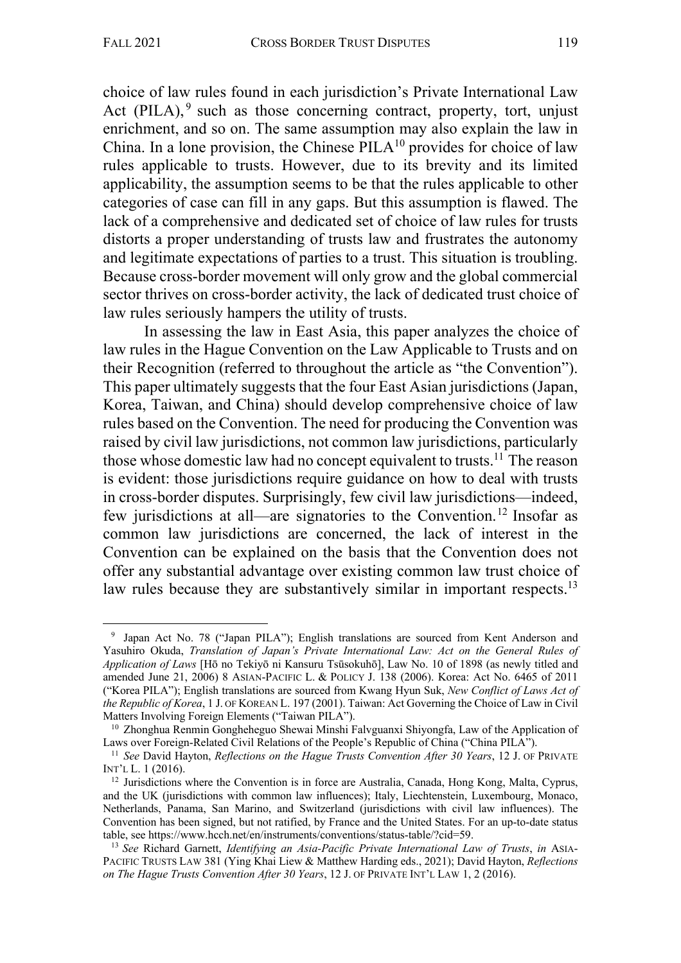choice of law rules found in each jurisdiction's Private International Law Act (PILA),  $9$  such as those concerning contract, property, tort, unjust enrichment, and so on. The same assumption may also explain the law in China. In a lone provision, the Chinese  $\rm PILA^{10}$  provides for choice of law rules applicable to trusts. However, due to its brevity and its limited applicability, the assumption seems to be that the rules applicable to other categories of case can fill in any gaps. But this assumption is flawed. The lack of a comprehensive and dedicated set of choice of law rules for trusts distorts a proper understanding of trusts law and frustrates the autonomy and legitimate expectations of parties to a trust. This situation is troubling. Because cross-border movement will only grow and the global commercial sector thrives on cross-border activity, the lack of dedicated trust choice of law rules seriously hampers the utility of trusts.

In assessing the law in East Asia, this paper analyzes the choice of law rules in the Hague Convention on the Law Applicable to Trusts and on their Recognition (referred to throughout the article as "the Convention"). This paper ultimately suggests that the four East Asian jurisdictions (Japan, Korea, Taiwan, and China) should develop comprehensive choice of law rules based on the Convention. The need for producing the Convention was raised by civil law jurisdictions, not common law jurisdictions, particularly those whose domestic law had no concept equivalent to trusts.<sup>11</sup> The reason is evident: those jurisdictions require guidance on how to deal with trusts in cross-border disputes. Surprisingly, few civil law jurisdictions—indeed, few jurisdictions at all—are signatories to the Convention. <sup>12</sup> Insofar as common law jurisdictions are concerned, the lack of interest in the Convention can be explained on the basis that the Convention does not offer any substantial advantage over existing common law trust choice of law rules because they are substantively similar in important respects.<sup>13</sup>

<sup>9</sup> Japan Act No. 78 ("Japan PILA"); English translations are sourced from Kent Anderson and Yasuhiro Okuda, *Translation of Japan's Private International Law: Act on the General Rules of Application of Laws* [Hō no Tekiyō ni Kansuru Tsūsokuhō], Law No. 10 of 1898 (as newly titled and amended June 21, 2006) 8 ASIAN-PACIFIC L. & POLICY J. 138 (2006). Korea: Act No. 6465 of 2011 ("Korea PILA"); English translations are sourced from Kwang Hyun Suk, *New Conflict of Laws Act of the Republic of Korea*, 1 J. OF KOREAN L. 197 (2001). Taiwan: Act Governing the Choice of Law in Civil Matters Involving Foreign Elements ("Taiwan PILA").

<sup>&</sup>lt;sup>10</sup> Zhonghua Renmin Gongheheguo Shewai Minshi Falvguanxi Shiyongfa, Law of the Application of Laws over Foreign-Related Civil Relations of the People's Republic of China ("China PILA").

<sup>11</sup> *See* David Hayton, *Reflections on the Hague Trusts Convention After 30 Years*, 12 J. OF PRIVATE INT'L L. 1 (2016).

 $12$  Jurisdictions where the Convention is in force are Australia, Canada, Hong Kong, Malta, Cyprus, and the UK (jurisdictions with common law influences); Italy, Liechtenstein, Luxembourg, Monaco, Netherlands, Panama, San Marino, and Switzerland (jurisdictions with civil law influences). The Convention has been signed, but not ratified, by France and the United States. For an up-to-date status table, see https://www.hcch.net/en/instruments/conventions/status-table/?cid=59.

<sup>13</sup> *See* Richard Garnett, *Identifying an Asia-Pacific Private International Law of Trusts*, *in* ASIA-PACIFIC TRUSTS LAW 381 (Ying Khai Liew & Matthew Harding eds., 2021); David Hayton, *Reflections on The Hague Trusts Convention After 30 Years*, 12 J. OF PRIVATE INT'L LAW 1, 2 (2016).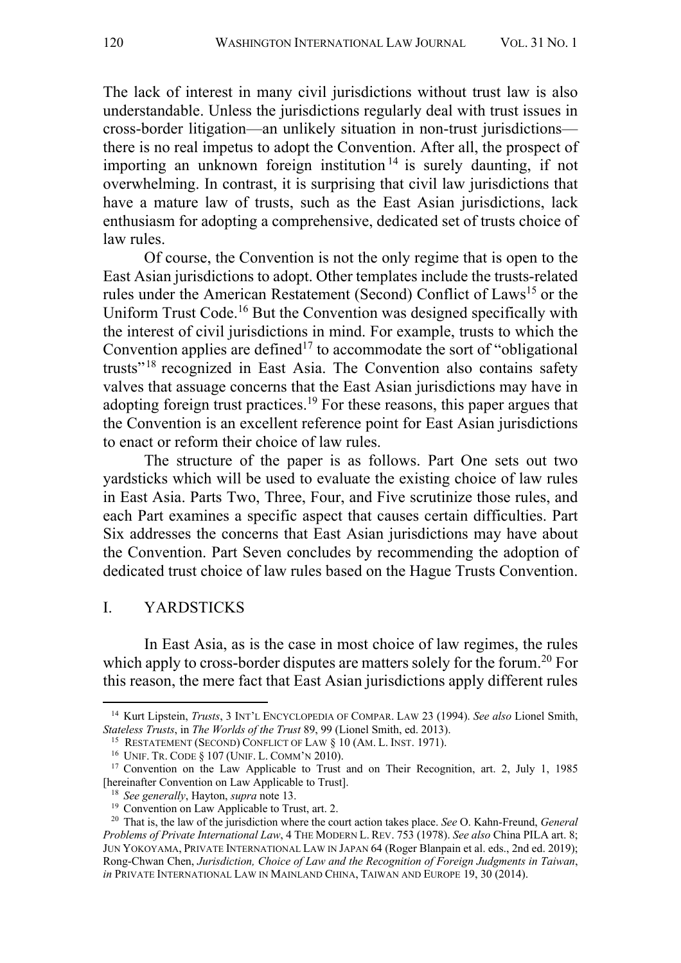The lack of interest in many civil jurisdictions without trust law is also understandable. Unless the jurisdictions regularly deal with trust issues in cross-border litigation—an unlikely situation in non-trust jurisdictions there is no real impetus to adopt the Convention. After all, the prospect of importing an unknown foreign institution  $14$  is surely daunting, if not overwhelming. In contrast, it is surprising that civil law jurisdictions that have a mature law of trusts, such as the East Asian jurisdictions, lack enthusiasm for adopting a comprehensive, dedicated set of trusts choice of law rules.

Of course, the Convention is not the only regime that is open to the East Asian jurisdictions to adopt. Other templates include the trusts-related rules under the American Restatement (Second) Conflict of Laws<sup>15</sup> or the Uniform Trust Code.<sup>16</sup> But the Convention was designed specifically with the interest of civil jurisdictions in mind. For example, trusts to which the Convention applies are defined<sup>17</sup> to accommodate the sort of "obligational" trusts"18 recognized in East Asia. The Convention also contains safety valves that assuage concerns that the East Asian jurisdictions may have in adopting foreign trust practices.19 For these reasons, this paper argues that the Convention is an excellent reference point for East Asian jurisdictions to enact or reform their choice of law rules.

The structure of the paper is as follows. Part One sets out two yardsticks which will be used to evaluate the existing choice of law rules in East Asia. Parts Two, Three, Four, and Five scrutinize those rules, and each Part examines a specific aspect that causes certain difficulties. Part Six addresses the concerns that East Asian jurisdictions may have about the Convention. Part Seven concludes by recommending the adoption of dedicated trust choice of law rules based on the Hague Trusts Convention.

### I. YARDSTICKS

In East Asia, as is the case in most choice of law regimes, the rules which apply to cross-border disputes are matters solely for the forum.<sup>20</sup> For this reason, the mere fact that East Asian jurisdictions apply different rules

<sup>14</sup> Kurt Lipstein, *Trusts*, 3 INT'L ENCYCLOPEDIA OF COMPAR. LAW 23 (1994). *See also* Lionel Smith, *Stateless Trusts*, in *The Worlds of the Trust* 89, 99 (Lionel Smith, ed. 2013).

<sup>15</sup> RESTATEMENT (SECOND) CONFLICT OF LAW § 10 (AM. L. INST. 1971).

<sup>16</sup> UNIF. TR. CODE § 107 (UNIF. L. COMM'N 2010).

<sup>&</sup>lt;sup>17</sup> Convention on the Law Applicable to Trust and on Their Recognition, art. 2, July 1, 1985 [hereinafter Convention on Law Applicable to Trust].

<sup>18</sup> *See generally*, Hayton, *supra* note 13.

<sup>&</sup>lt;sup>19</sup> Convention on Law Applicable to Trust, art. 2.

<sup>20</sup> That is, the law of the jurisdiction where the court action takes place. *See* O. Kahn-Freund, *General Problems of Private International Law*, 4 THE MODERN L. REV. 753 (1978). *See also* China PILA art. 8; JUN YOKOYAMA, PRIVATE INTERNATIONAL LAW IN JAPAN 64 (Roger Blanpain et al. eds., 2nd ed. 2019); Rong-Chwan Chen, *Jurisdiction, Choice of Law and the Recognition of Foreign Judgments in Taiwan*, *in* PRIVATE INTERNATIONAL LAW IN MAINLAND CHINA, TAIWAN AND EUROPE 19, 30 (2014).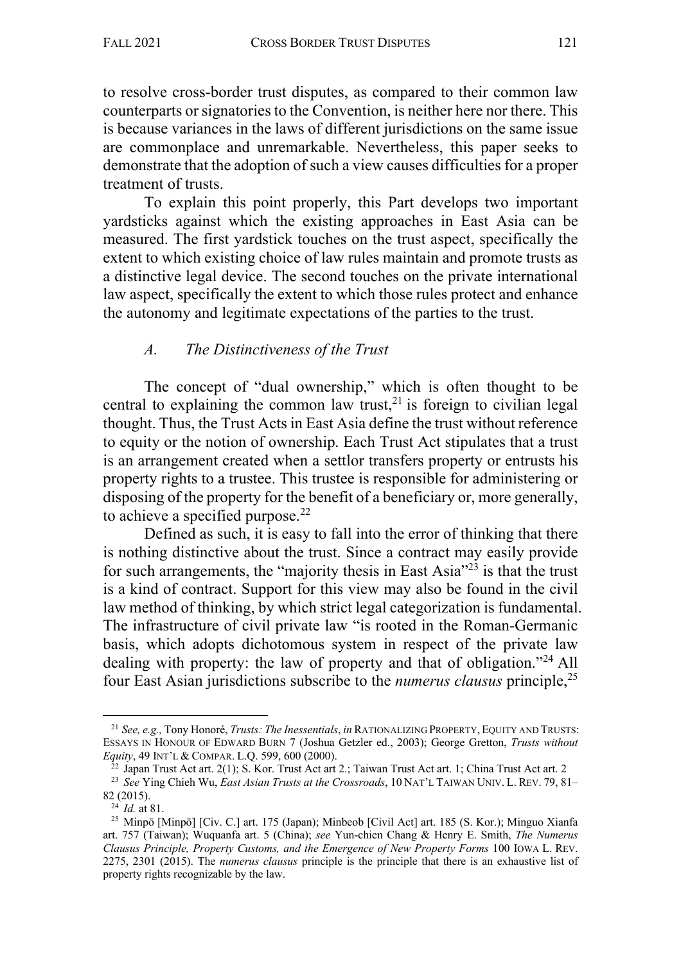to resolve cross-border trust disputes, as compared to their common law counterparts or signatories to the Convention, is neither here nor there. This is because variances in the laws of different jurisdictions on the same issue are commonplace and unremarkable. Nevertheless, this paper seeks to demonstrate that the adoption of such a view causes difficulties for a proper treatment of trusts.

To explain this point properly, this Part develops two important yardsticks against which the existing approaches in East Asia can be measured. The first yardstick touches on the trust aspect, specifically the extent to which existing choice of law rules maintain and promote trusts as a distinctive legal device. The second touches on the private international law aspect, specifically the extent to which those rules protect and enhance the autonomy and legitimate expectations of the parties to the trust.

## *A. The Distinctiveness of the Trust*

The concept of "dual ownership," which is often thought to be central to explaining the common law trust,<sup>21</sup> is foreign to civilian legal thought. Thus, the Trust Acts in East Asia define the trust without reference to equity or the notion of ownership. Each Trust Act stipulates that a trust is an arrangement created when a settlor transfers property or entrusts his property rights to a trustee. This trustee is responsible for administering or disposing of the property for the benefit of a beneficiary or, more generally, to achieve a specified purpose. $^{22}$ 

Defined as such, it is easy to fall into the error of thinking that there is nothing distinctive about the trust. Since a contract may easily provide for such arrangements, the "majority thesis in East Asia"23 is that the trust is a kind of contract. Support for this view may also be found in the civil law method of thinking, by which strict legal categorization is fundamental. The infrastructure of civil private law "is rooted in the Roman-Germanic basis, which adopts dichotomous system in respect of the private law dealing with property: the law of property and that of obligation."<sup>24</sup> All four East Asian jurisdictions subscribe to the *numerus clausus* principle,25

<sup>21</sup> *See, e.g.,* Tony Honoré, *Trusts: The Inessentials*, *in* RATIONALIZING PROPERTY,EQUITY AND TRUSTS: ESSAYS IN HONOUR OF EDWARD BURN 7 (Joshua Getzler ed., 2003); George Gretton, *Trusts without Equity*, 49 INT'L & COMPAR. L.Q. 599, 600 (2000).

 $^{22}$  Japan Trust Act art. 2(1); S. Kor. Trust Act art 2.; Taiwan Trust Act art. 1; China Trust Act art. 2

<sup>23</sup> *See* Ying Chieh Wu, *East Asian Trusts at the Crossroads*, 10 NAT'L TAIWAN UNIV. L. REV. 79, 81– 82 (2015).

<sup>24</sup> *Id.* at 81.

<sup>25</sup> Minpō [Minpō] [Civ. C.] art. 175 (Japan); Minbeob [Civil Act] art. 185 (S. Kor.); Minguo Xianfa art. 757 (Taiwan); Wuquanfa art. 5 (China); *see* Yun-chien Chang & Henry E. Smith, *The Numerus Clausus Principle, Property Customs, and the Emergence of New Property Forms* 100 IOWA L. REV. 2275, 2301 (2015). The *numerus clausus* principle is the principle that there is an exhaustive list of property rights recognizable by the law.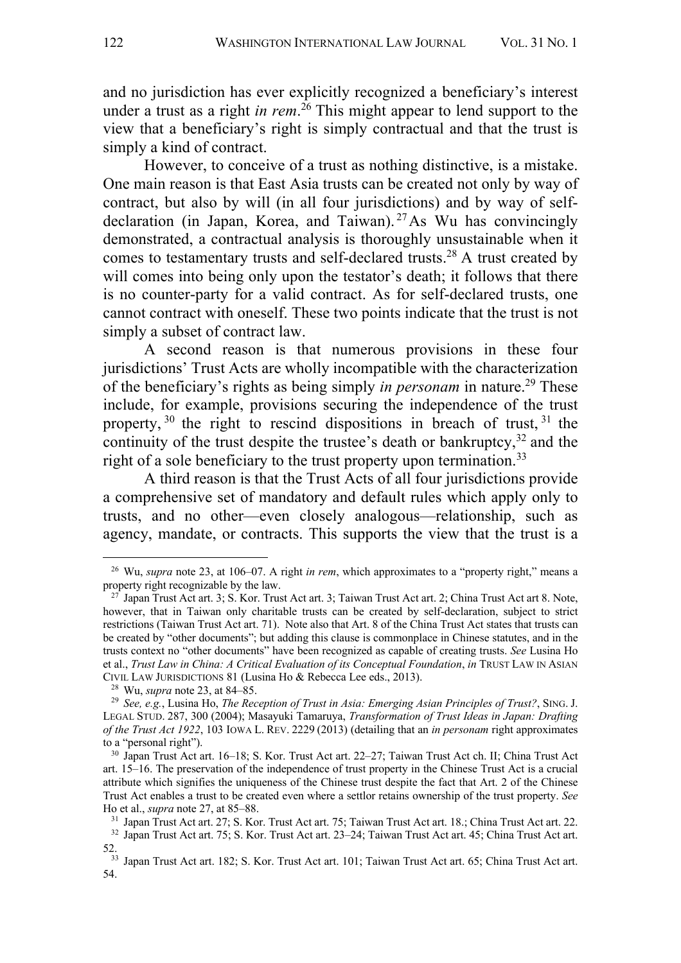and no jurisdiction has ever explicitly recognized a beneficiary's interest under a trust as a right *in rem*. <sup>26</sup> This might appear to lend support to the view that a beneficiary's right is simply contractual and that the trust is simply a kind of contract.

However, to conceive of a trust as nothing distinctive, is a mistake. One main reason is that East Asia trusts can be created not only by way of contract, but also by will (in all four jurisdictions) and by way of selfdeclaration (in Japan, Korea, and Taiwan).<sup>27</sup>As Wu has convincingly demonstrated, a contractual analysis is thoroughly unsustainable when it comes to testamentary trusts and self-declared trusts.<sup>28</sup> A trust created by will comes into being only upon the testator's death; it follows that there is no counter-party for a valid contract. As for self-declared trusts, one cannot contract with oneself. These two points indicate that the trust is not simply a subset of contract law.

A second reason is that numerous provisions in these four jurisdictions' Trust Acts are wholly incompatible with the characterization of the beneficiary's rights as being simply *in personam* in nature.<sup>29</sup> These include, for example, provisions securing the independence of the trust property,  $30$  the right to rescind dispositions in breach of trust,  $31$  the continuity of the trust despite the trustee's death or bankruptcy,  $32$  and the right of a sole beneficiary to the trust property upon termination.<sup>33</sup>

A third reason is that the Trust Acts of all four jurisdictions provide a comprehensive set of mandatory and default rules which apply only to trusts, and no other—even closely analogous—relationship, such as agency, mandate, or contracts. This supports the view that the trust is a

<sup>26</sup> Wu, *supra* note 23, at 106–07. A right *in rem*, which approximates to a "property right," means a property right recognizable by the law.

 $27$  Japan Trust Act art. 3; S. Kor. Trust Act art. 3; Taiwan Trust Act art. 2; China Trust Act art 8. Note, however, that in Taiwan only charitable trusts can be created by self-declaration, subject to strict restrictions (Taiwan Trust Act art. 71). Note also that Art. 8 of the China Trust Act states that trusts can be created by "other documents"; but adding this clause is commonplace in Chinese statutes, and in the trusts context no "other documents" have been recognized as capable of creating trusts. *See* Lusina Ho et al., *Trust Law in China: A Critical Evaluation of its Conceptual Foundation*, *in* TRUST LAW IN ASIAN CIVIL LAW JURISDICTIONS 81 (Lusina Ho & Rebecca Lee eds., 2013).

<sup>28</sup> Wu, *supra* note 23, at 84–85.

<sup>29</sup> *See, e.g.*, Lusina Ho, *The Reception of Trust in Asia: Emerging Asian Principles of Trust?*, SING. J. LEGAL STUD. 287, 300 (2004); Masayuki Tamaruya, *Transformation of Trust Ideas in Japan: Drafting of the Trust Act 1922*, 103 IOWA L. REV. 2229 (2013) (detailing that an *in personam* right approximates to a "personal right").

<sup>30</sup> Japan Trust Act art. 16–18; S. Kor. Trust Act art. 22–27; Taiwan Trust Act ch. II; China Trust Act art. 15–16. The preservation of the independence of trust property in the Chinese Trust Act is a crucial attribute which signifies the uniqueness of the Chinese trust despite the fact that Art. 2 of the Chinese Trust Act enables a trust to be created even where a settlor retains ownership of the trust property. *See* Ho et al., *supra* note 27, at 85–88.

<sup>31</sup> Japan Trust Act art. 27; S. Kor. Trust Act art. 75; Taiwan Trust Act art. 18.; China Trust Act art. 22. <sup>32</sup> Japan Trust Act art. 75; S. Kor. Trust Act art. 23–24; Taiwan Trust Act art. 45; China Trust Act art. 52.

<sup>33</sup> Japan Trust Act art. 182; S. Kor. Trust Act art. 101; Taiwan Trust Act art. 65; China Trust Act art. 54.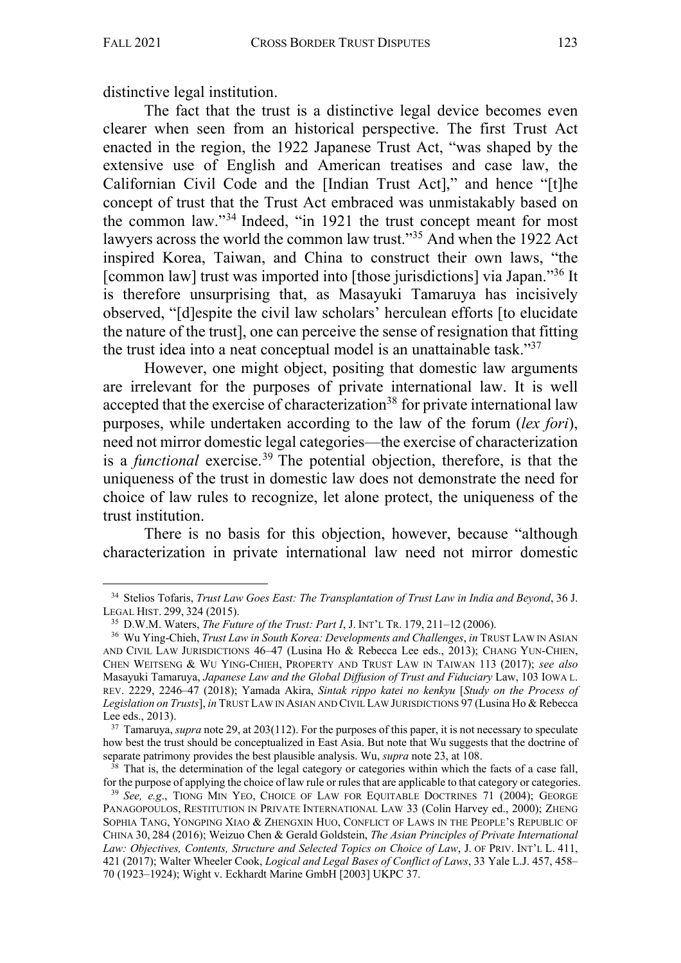distinctive legal institution.

The fact that the trust is a distinctive legal device becomes even clearer when seen from an historical perspective. The first Trust Act enacted in the region, the 1922 Japanese Trust Act, "was shaped by the extensive use of English and American treatises and case law, the Californian Civil Code and the [Indian Trust Act]," and hence "[t]he concept of trust that the Trust Act embraced was unmistakably based on the common law."34 Indeed, "in 1921 the trust concept meant for most lawyers across the world the common law trust."35 And when the 1922 Act inspired Korea, Taiwan, and China to construct their own laws, "the [common law] trust was imported into [those jurisdictions] via Japan."36 It is therefore unsurprising that, as Masayuki Tamaruya has incisively observed, "[d]espite the civil law scholars' herculean efforts [to elucidate the nature of the trust], one can perceive the sense of resignation that fitting the trust idea into a neat conceptual model is an unattainable task."37

However, one might object, positing that domestic law arguments are irrelevant for the purposes of private international law. It is well accepted that the exercise of characterization<sup>38</sup> for private international law purposes, while undertaken according to the law of the forum (*lex fori*), need not mirror domestic legal categories—the exercise of characterization is a *functional* exercise.39 The potential objection, therefore, is that the uniqueness of the trust in domestic law does not demonstrate the need for choice of law rules to recognize, let alone protect, the uniqueness of the trust institution.

There is no basis for this objection, however, because "although characterization in private international law need not mirror domestic

<sup>34</sup> Stelios Tofaris, *Trust Law Goes East: The Transplantation of Trust Law in India and Beyond*, 36 J. LEGAL HIST. 299, 324 (2015).

<sup>35</sup> D.W.M. Waters, *The Future of the Trust: Part I*, J. INT'L TR. 179, 211–12 (2006).

<sup>36</sup> Wu Ying-Chieh, *Trust Law in South Korea: Developments and Challenges*, *in* TRUST LAW IN ASIAN AND CIVIL LAW JURISDICTIONS 46–47 (Lusina Ho & Rebecca Lee eds., 2013); CHANG YUN-CHIEN, CHEN WEITSENG & WU YING-CHIEH, PROPERTY AND TRUST LAW IN TAIWAN 113 (2017); *see also* Masayuki Tamaruya, *Japanese Law and the Global Diffusion of Trust and Fiduciary* Law, 103 IOWA L. REV. 2229, 2246–47 (2018); Yamada Akira, *Sintak rippo katei no kenkyu* [*Study on the Process of Legislation on Trusts*], *in* TRUST LAW IN ASIAN AND CIVIL LAW JURISDICTIONS 97 (Lusina Ho & Rebecca Lee eds., 2013).

<sup>&</sup>lt;sup>37</sup> Tamaruya, *supra* note 29, at 203(112). For the purposes of this paper, it is not necessary to speculate how best the trust should be conceptualized in East Asia. But note that Wu suggests that the doctrine of separate patrimony provides the best plausible analysis. Wu, *supra* note 23, at 108.

 $38$  That is, the determination of the legal category or categories within which the facts of a case fall, for the purpose of applying the choice of law rule or rules that are applicable to that category or categories. 39 *See, e.g*., TIONG MIN YEO, CHOICE OF LAW FOR EQUITABLE DOCTRINES 71 (2004); GEORGE

PANAGOPOULOS, RESTITUTION IN PRIVATE INTERNATIONAL LAW 33 (Colin Harvey ed., 2000); ZHENG SOPHIA TANG, YONGPING XIAO & ZHENGXIN HUO, CONFLICT OF LAWS IN THE PEOPLE'S REPUBLIC OF CHINA 30, 284 (2016); Weizuo Chen & Gerald Goldstein, *The Asian Principles of Private International Law: Objectives, Contents, Structure and Selected Topics on Choice of Law*, J. OF PRIV. INT'L L. 411, 421 (2017); Walter Wheeler Cook, *Logical and Legal Bases of Conflict of Laws*, 33 Yale L.J. 457, 458– 70 (1923–1924); Wight v. Eckhardt Marine GmbH [2003] UKPC 37.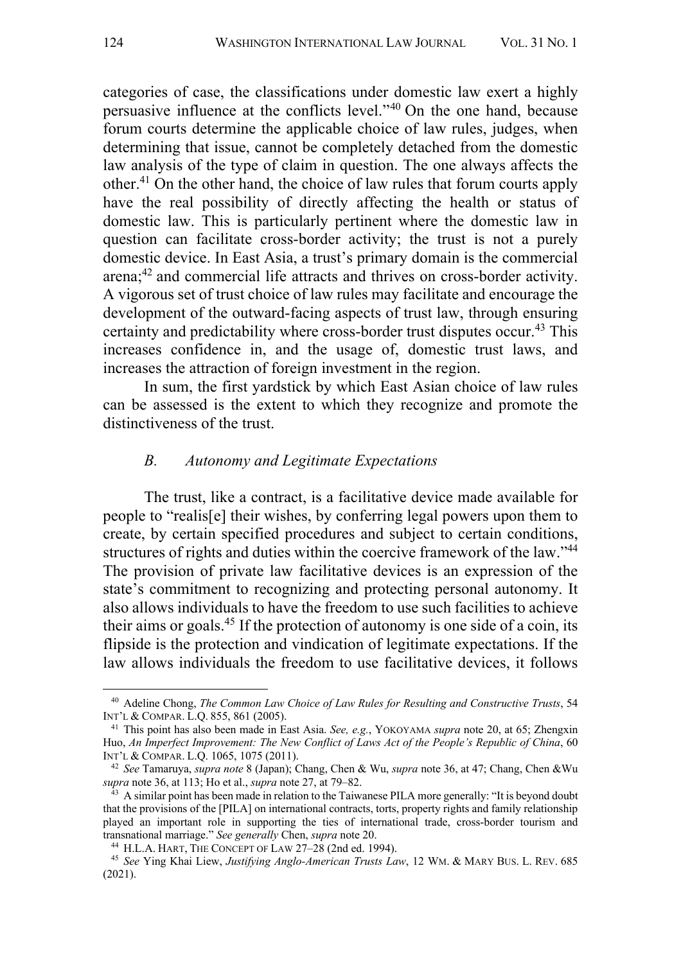categories of case, the classifications under domestic law exert a highly persuasive influence at the conflicts level."40 On the one hand, because forum courts determine the applicable choice of law rules, judges, when determining that issue, cannot be completely detached from the domestic law analysis of the type of claim in question. The one always affects the other.<sup>41</sup> On the other hand, the choice of law rules that forum courts apply have the real possibility of directly affecting the health or status of domestic law. This is particularly pertinent where the domestic law in question can facilitate cross-border activity; the trust is not a purely domestic device. In East Asia, a trust's primary domain is the commercial arena;42 and commercial life attracts and thrives on cross-border activity. A vigorous set of trust choice of law rules may facilitate and encourage the development of the outward-facing aspects of trust law, through ensuring certainty and predictability where cross-border trust disputes occur.<sup>43</sup> This increases confidence in, and the usage of, domestic trust laws, and increases the attraction of foreign investment in the region.

In sum, the first yardstick by which East Asian choice of law rules can be assessed is the extent to which they recognize and promote the distinctiveness of the trust.

#### *B. Autonomy and Legitimate Expectations*

The trust, like a contract, is a facilitative device made available for people to "realis[e] their wishes, by conferring legal powers upon them to create, by certain specified procedures and subject to certain conditions, structures of rights and duties within the coercive framework of the law."44 The provision of private law facilitative devices is an expression of the state's commitment to recognizing and protecting personal autonomy. It also allows individuals to have the freedom to use such facilities to achieve their aims or goals.<sup>45</sup> If the protection of autonomy is one side of a coin, its flipside is the protection and vindication of legitimate expectations. If the law allows individuals the freedom to use facilitative devices, it follows

<sup>40</sup> Adeline Chong, *The Common Law Choice of Law Rules for Resulting and Constructive Trusts*, 54 INT'L & COMPAR. L.Q. 855, 861 (2005).

<sup>41</sup> This point has also been made in East Asia. *See, e.g.*, YOKOYAMA *supra* note 20, at 65; Zhengxin Huo, *An Imperfect Improvement: The New Conflict of Laws Act of the People's Republic of China*, 60 INT'L & COMPAR. L.Q. 1065, 1075 (2011).

<sup>42</sup> *See* Tamaruya, *supra note* 8 (Japan); Chang, Chen & Wu, *supra* note 36, at 47; Chang, Chen &Wu *supra* note 36, at 113; Ho et al., *supra* note 27, at 79–82.

 $^{43}$  A similar point has been made in relation to the Taiwanese PILA more generally: "It is beyond doubt that the provisions of the [PILA] on international contracts, torts, property rights and family relationship played an important role in supporting the ties of international trade, cross-border tourism and transnational marriage." *See generally* Chen, *supra* note 20.

<sup>44</sup> H.L.A. HART, THE CONCEPT OF LAW 27–28 (2nd ed. 1994).

<sup>45</sup> *See* Ying Khai Liew, *Justifying Anglo-American Trusts Law*, 12 WM. & MARY BUS. L. REV. 685 (2021).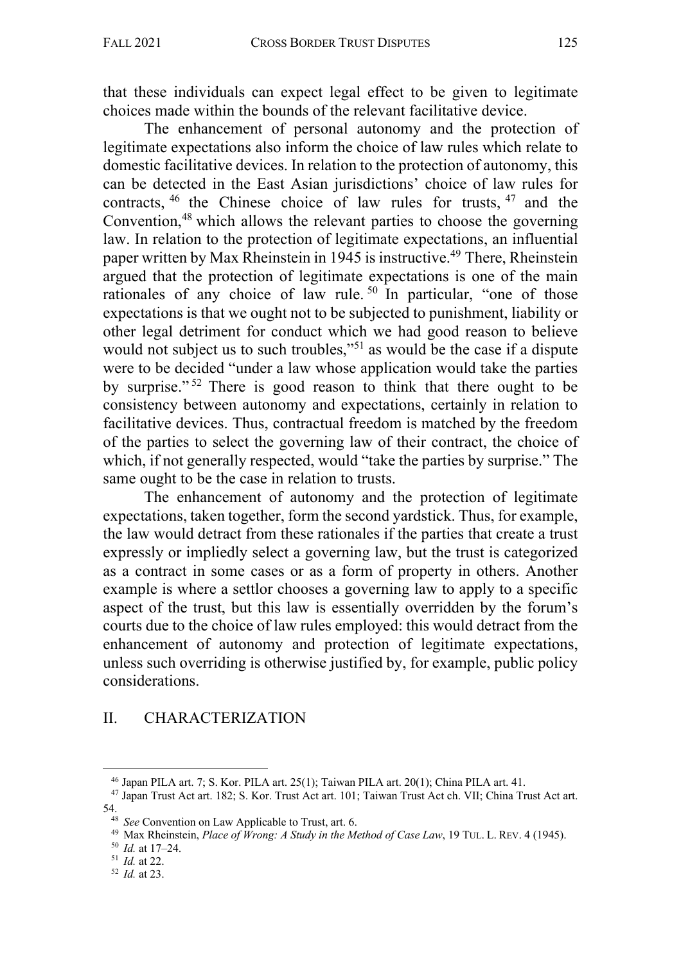that these individuals can expect legal effect to be given to legitimate choices made within the bounds of the relevant facilitative device.

The enhancement of personal autonomy and the protection of legitimate expectations also inform the choice of law rules which relate to domestic facilitative devices. In relation to the protection of autonomy, this can be detected in the East Asian jurisdictions' choice of law rules for contracts, <sup>46</sup> the Chinese choice of law rules for trusts, <sup>47</sup> and the Convention, <sup>48</sup> which allows the relevant parties to choose the governing law. In relation to the protection of legitimate expectations, an influential paper written by Max Rheinstein in 1945 is instructive.49 There, Rheinstein argued that the protection of legitimate expectations is one of the main rationales of any choice of law rule.<sup>50</sup> In particular, "one of those expectations is that we ought not to be subjected to punishment, liability or other legal detriment for conduct which we had good reason to believe would not subject us to such troubles,"<sup>51</sup> as would be the case if a dispute were to be decided "under a law whose application would take the parties by surprise."<sup>52</sup> There is good reason to think that there ought to be consistency between autonomy and expectations, certainly in relation to facilitative devices. Thus, contractual freedom is matched by the freedom of the parties to select the governing law of their contract, the choice of which, if not generally respected, would "take the parties by surprise." The same ought to be the case in relation to trusts.

The enhancement of autonomy and the protection of legitimate expectations, taken together, form the second yardstick. Thus, for example, the law would detract from these rationales if the parties that create a trust expressly or impliedly select a governing law, but the trust is categorized as a contract in some cases or as a form of property in others. Another example is where a settlor chooses a governing law to apply to a specific aspect of the trust, but this law is essentially overridden by the forum's courts due to the choice of law rules employed: this would detract from the enhancement of autonomy and protection of legitimate expectations, unless such overriding is otherwise justified by, for example, public policy considerations.

# II. CHARACTERIZATION

<sup>46</sup> Japan PILA art. 7; S. Kor. PILA art. 25(1); Taiwan PILA art. 20(1); China PILA art. 41.

<sup>47</sup> Japan Trust Act art. 182; S. Kor. Trust Act art. 101; Taiwan Trust Act ch. VII; China Trust Act art.

<sup>54.</sup>

<sup>48</sup> *See* Convention on Law Applicable to Trust, art. 6.

<sup>49</sup> Max Rheinstein, *Place of Wrong: A Study in the Method of Case Law*, 19 TUL. L. REV. 4 (1945).

<sup>50</sup> *Id.* at 17–24.

<sup>51</sup> *Id.* at 22.

<sup>52</sup> *Id.* at 23.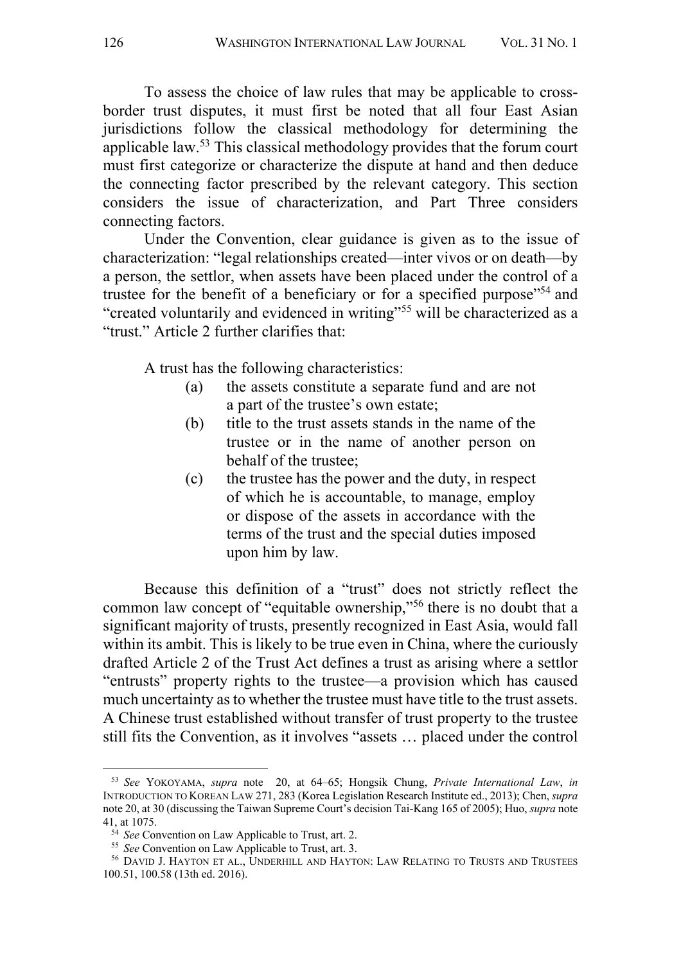To assess the choice of law rules that may be applicable to crossborder trust disputes, it must first be noted that all four East Asian jurisdictions follow the classical methodology for determining the applicable law.<sup>53</sup> This classical methodology provides that the forum court must first categorize or characterize the dispute at hand and then deduce the connecting factor prescribed by the relevant category. This section considers the issue of characterization, and Part Three considers connecting factors.

Under the Convention, clear guidance is given as to the issue of characterization: "legal relationships created—inter vivos or on death—by a person, the settlor, when assets have been placed under the control of a trustee for the benefit of a beneficiary or for a specified purpose<sup>"54</sup> and "created voluntarily and evidenced in writing"55 will be characterized as a "trust." Article 2 further clarifies that:

A trust has the following characteristics:

- (a) the assets constitute a separate fund and are not a part of the trustee's own estate;
- (b) title to the trust assets stands in the name of the trustee or in the name of another person on behalf of the trustee;
- (c) the trustee has the power and the duty, in respect of which he is accountable, to manage, employ or dispose of the assets in accordance with the terms of the trust and the special duties imposed upon him by law.

Because this definition of a "trust" does not strictly reflect the common law concept of "equitable ownership,"56 there is no doubt that a significant majority of trusts, presently recognized in East Asia, would fall within its ambit. This is likely to be true even in China, where the curiously drafted Article 2 of the Trust Act defines a trust as arising where a settlor "entrusts" property rights to the trustee—a provision which has caused much uncertainty as to whether the trustee must have title to the trust assets. A Chinese trust established without transfer of trust property to the trustee still fits the Convention, as it involves "assets … placed under the control

<sup>53</sup> *See* YOKOYAMA, *supra* note 20, at 64–65; Hongsik Chung, *Private International Law*, *in* INTRODUCTION TO KOREAN LAW 271, 283 (Korea Legislation Research Institute ed., 2013); Chen, *supra*  note 20, at 30 (discussing the Taiwan Supreme Court's decision Tai-Kang 165 of 2005); Huo, *supra* note 41, at 1075.

<sup>54</sup> *See* Convention on Law Applicable to Trust, art. 2.

<sup>55</sup> *See* Convention on Law Applicable to Trust, art. 3.

<sup>&</sup>lt;sup>56</sup> DAVID J. HAYTON ET AL., UNDERHILL AND HAYTON: LAW RELATING TO TRUSTS AND TRUSTEES 100.51, 100.58 (13th ed. 2016).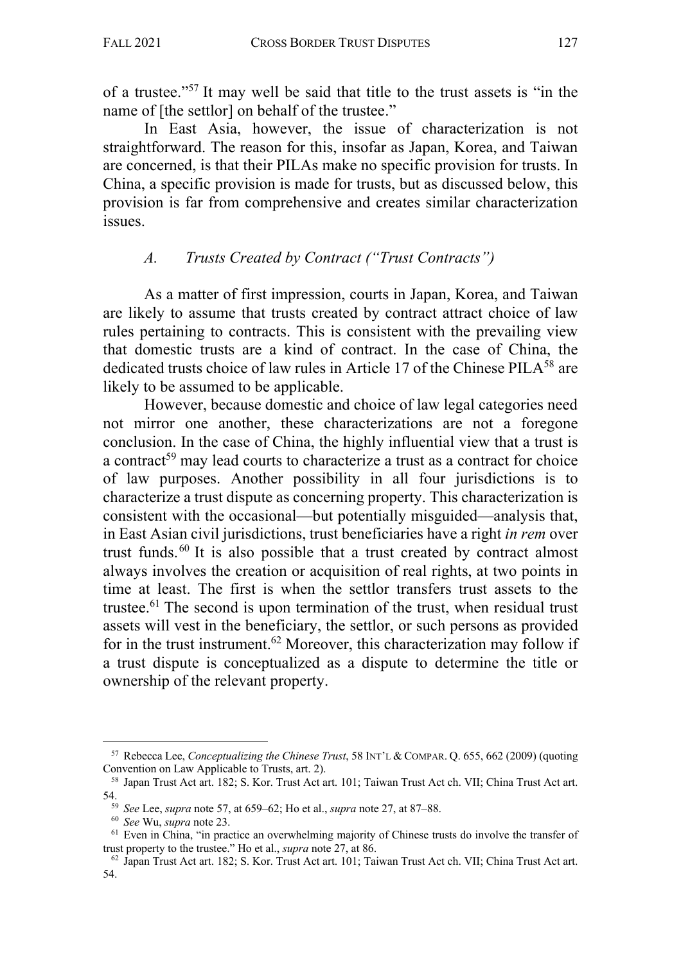of a trustee."57 It may well be said that title to the trust assets is "in the name of [the settlor] on behalf of the trustee."

In East Asia, however, the issue of characterization is not straightforward. The reason for this, insofar as Japan, Korea, and Taiwan are concerned, is that their PILAs make no specific provision for trusts. In China, a specific provision is made for trusts, but as discussed below, this provision is far from comprehensive and creates similar characterization issues.

## *A. Trusts Created by Contract ("Trust Contracts")*

As a matter of first impression, courts in Japan, Korea, and Taiwan are likely to assume that trusts created by contract attract choice of law rules pertaining to contracts. This is consistent with the prevailing view that domestic trusts are a kind of contract. In the case of China, the dedicated trusts choice of law rules in Article 17 of the Chinese PILA<sup>58</sup> are likely to be assumed to be applicable.

However, because domestic and choice of law legal categories need not mirror one another, these characterizations are not a foregone conclusion. In the case of China, the highly influential view that a trust is a contract<sup>59</sup> may lead courts to characterize a trust as a contract for choice of law purposes. Another possibility in all four jurisdictions is to characterize a trust dispute as concerning property. This characterization is consistent with the occasional—but potentially misguided—analysis that, in East Asian civil jurisdictions, trust beneficiaries have a right *in rem* over trust funds.60 It is also possible that a trust created by contract almost always involves the creation or acquisition of real rights, at two points in time at least. The first is when the settlor transfers trust assets to the trustee. <sup>61</sup> The second is upon termination of the trust, when residual trust assets will vest in the beneficiary, the settlor, or such persons as provided for in the trust instrument.<sup>62</sup> Moreover, this characterization may follow if a trust dispute is conceptualized as a dispute to determine the title or ownership of the relevant property.

<sup>57</sup> Rebecca Lee, *Conceptualizing the Chinese Trust*, 58 INT'L & COMPAR. Q. 655, 662 (2009) (quoting Convention on Law Applicable to Trusts, art. 2).

<sup>58</sup> Japan Trust Act art. 182; S. Kor. Trust Act art. 101; Taiwan Trust Act ch. VII; China Trust Act art. 54.

<sup>59</sup> *See* Lee, *supra* note 57, at 659–62; Ho et al., *supra* note 27, at 87–88.

<sup>60</sup> *See* Wu, *supra* note 23.

<sup>&</sup>lt;sup>61</sup> Even in China, "in practice an overwhelming majority of Chinese trusts do involve the transfer of trust property to the trustee." Ho et al., *supra* note 27, at 86.<br><sup>62</sup> Japan Trust Act art. 182; S. Kor. Trust Act art. 101; Taiwan Trust Act ch. VII; China Trust Act art.

<sup>54.</sup>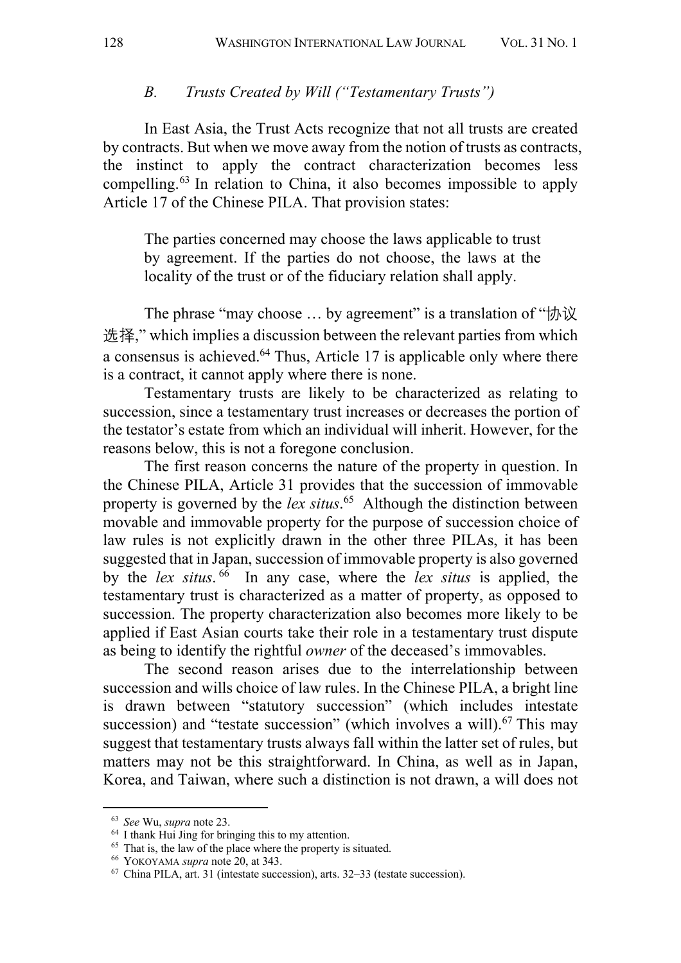#### *B. Trusts Created by Will ("Testamentary Trusts")*

In East Asia, the Trust Acts recognize that not all trusts are created by contracts. But when we move away from the notion of trusts as contracts, the instinct to apply the contract characterization becomes less compelling. <sup>63</sup> In relation to China, it also becomes impossible to apply Article 17 of the Chinese PILA. That provision states:

The parties concerned may choose the laws applicable to trust by agreement. If the parties do not choose, the laws at the locality of the trust or of the fiduciary relation shall apply.

The phrase "may choose … by agreement" is a translation of "协议 选择," which implies a discussion between the relevant parties from which a consensus is achieved.64 Thus, Article 17 is applicable only where there is a contract, it cannot apply where there is none.

Testamentary trusts are likely to be characterized as relating to succession, since a testamentary trust increases or decreases the portion of the testator's estate from which an individual will inherit. However, for the reasons below, this is not a foregone conclusion.

The first reason concerns the nature of the property in question. In the Chinese PILA, Article 31 provides that the succession of immovable property is governed by the *lex situs*. 65 Although the distinction between movable and immovable property for the purpose of succession choice of law rules is not explicitly drawn in the other three PILAs, it has been suggested that in Japan, succession of immovable property is also governed by the *lex situs*. <sup>66</sup> In any case, where the *lex situs* is applied, the testamentary trust is characterized as a matter of property, as opposed to succession. The property characterization also becomes more likely to be applied if East Asian courts take their role in a testamentary trust dispute as being to identify the rightful *owner* of the deceased's immovables.

The second reason arises due to the interrelationship between succession and wills choice of law rules. In the Chinese PILA, a bright line is drawn between "statutory succession" (which includes intestate succession) and "testate succession" (which involves a will).<sup>67</sup> This may suggest that testamentary trusts always fall within the latter set of rules, but matters may not be this straightforward. In China, as well as in Japan, Korea, and Taiwan, where such a distinction is not drawn, a will does not

<sup>63</sup> *See* Wu, *supra* note 23.

<sup>64</sup> I thank Hui Jing for bringing this to my attention.

<sup>&</sup>lt;sup>65</sup> That is, the law of the place where the property is situated.

<sup>66</sup> YOKOYAMA *supra* note 20, at 343.

 $67$  China PILA, art. 31 (intestate succession), arts. 32–33 (testate succession).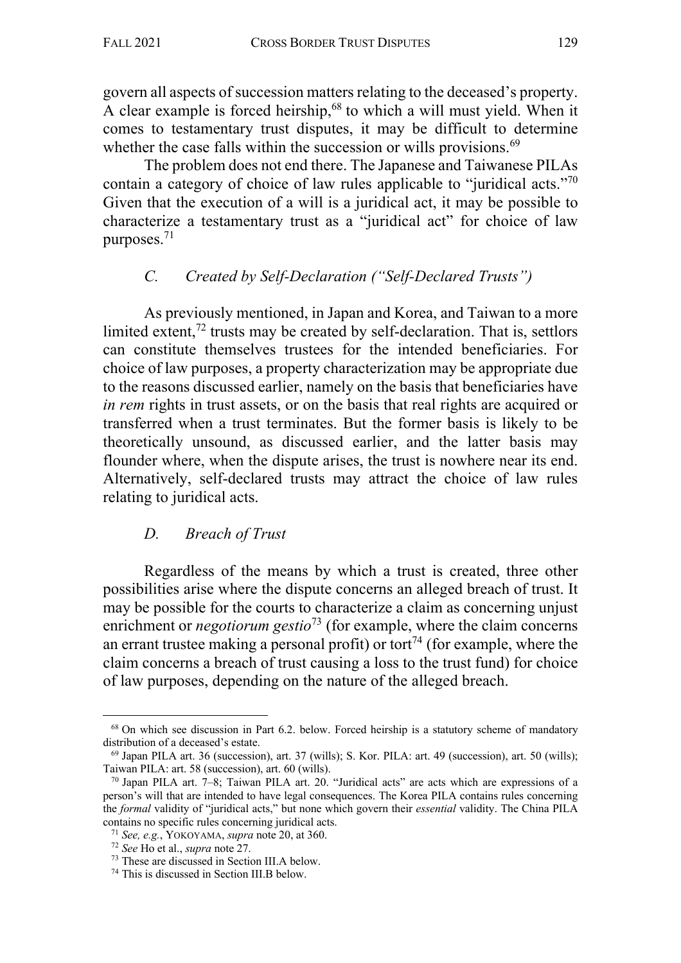govern all aspects of succession matters relating to the deceased's property. A clear example is forced heirship,  $68$  to which a will must yield. When it comes to testamentary trust disputes, it may be difficult to determine whether the case falls within the succession or wills provisions.<sup>69</sup>

The problem does not end there. The Japanese and Taiwanese PILAs contain a category of choice of law rules applicable to "juridical acts."70 Given that the execution of a will is a juridical act, it may be possible to characterize a testamentary trust as a "juridical act" for choice of law purposes.71

# *C. Created by Self-Declaration ("Self-Declared Trusts")*

As previously mentioned, in Japan and Korea, and Taiwan to a more limited extent,  $^{72}$  trusts may be created by self-declaration. That is, settlors can constitute themselves trustees for the intended beneficiaries. For choice of law purposes, a property characterization may be appropriate due to the reasons discussed earlier, namely on the basis that beneficiaries have *in rem* rights in trust assets, or on the basis that real rights are acquired or transferred when a trust terminates. But the former basis is likely to be theoretically unsound, as discussed earlier, and the latter basis may flounder where, when the dispute arises, the trust is nowhere near its end. Alternatively, self-declared trusts may attract the choice of law rules relating to juridical acts.

# *D. Breach of Trust*

Regardless of the means by which a trust is created, three other possibilities arise where the dispute concerns an alleged breach of trust. It may be possible for the courts to characterize a claim as concerning unjust enrichment or *negotiorum gestio*<sup>73</sup> (for example, where the claim concerns an errant trustee making a personal profit) or tort<sup>74</sup> (for example, where the claim concerns a breach of trust causing a loss to the trust fund) for choice of law purposes, depending on the nature of the alleged breach.

<sup>&</sup>lt;sup>68</sup> On which see discussion in Part 6.2. below. Forced heirship is a statutory scheme of mandatory distribution of a deceased's estate.

 $^{69}$  Japan PILA art. 36 (succession), art. 37 (wills); S. Kor. PILA: art. 49 (succession), art. 50 (wills); Taiwan PILA: art. 58 (succession), art. 60 (wills).

 $70$  Japan PILA art.  $7-8$ ; Taiwan PILA art. 20. "Juridical acts" are acts which are expressions of a person's will that are intended to have legal consequences. The Korea PILA contains rules concerning the *formal* validity of "juridical acts," but none which govern their *essential* validity. The China PILA contains no specific rules concerning juridical acts.

<sup>71</sup> *See, e.g.*, YOKOYAMA, *supra* note 20, at 360.

<sup>72</sup> *See* Ho et al., *supra* note 27.

<sup>73</sup> These are discussed in Section III.A below.

<sup>74</sup> This is discussed in Section III.B below.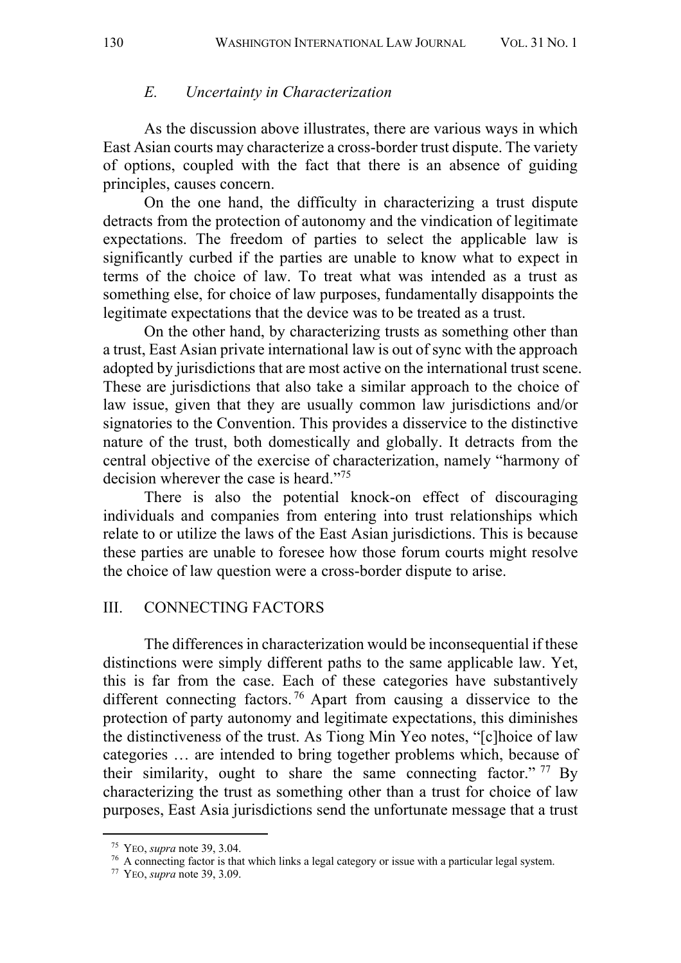#### *E. Uncertainty in Characterization*

As the discussion above illustrates, there are various ways in which East Asian courts may characterize a cross-border trust dispute. The variety of options, coupled with the fact that there is an absence of guiding principles, causes concern.

On the one hand, the difficulty in characterizing a trust dispute detracts from the protection of autonomy and the vindication of legitimate expectations. The freedom of parties to select the applicable law is significantly curbed if the parties are unable to know what to expect in terms of the choice of law. To treat what was intended as a trust as something else, for choice of law purposes, fundamentally disappoints the legitimate expectations that the device was to be treated as a trust.

On the other hand, by characterizing trusts as something other than a trust, East Asian private international law is out of sync with the approach adopted by jurisdictions that are most active on the international trust scene. These are jurisdictions that also take a similar approach to the choice of law issue, given that they are usually common law jurisdictions and/or signatories to the Convention. This provides a disservice to the distinctive nature of the trust, both domestically and globally. It detracts from the central objective of the exercise of characterization, namely "harmony of decision wherever the case is heard."<sup>75</sup>

There is also the potential knock-on effect of discouraging individuals and companies from entering into trust relationships which relate to or utilize the laws of the East Asian jurisdictions. This is because these parties are unable to foresee how those forum courts might resolve the choice of law question were a cross-border dispute to arise.

#### III. CONNECTING FACTORS

The differences in characterization would be inconsequential if these distinctions were simply different paths to the same applicable law. Yet, this is far from the case. Each of these categories have substantively different connecting factors. <sup>76</sup> Apart from causing a disservice to the protection of party autonomy and legitimate expectations, this diminishes the distinctiveness of the trust. As Tiong Min Yeo notes, "[c]hoice of law categories … are intended to bring together problems which, because of their similarity, ought to share the same connecting factor."  $^{77}$  By characterizing the trust as something other than a trust for choice of law purposes, East Asia jurisdictions send the unfortunate message that a trust

<sup>75</sup> YEO, *supra* note 39, 3.04.

<sup>&</sup>lt;sup>76</sup> A connecting factor is that which links a legal category or issue with a particular legal system.

<sup>77</sup> YEO, *supra* note 39, 3.09.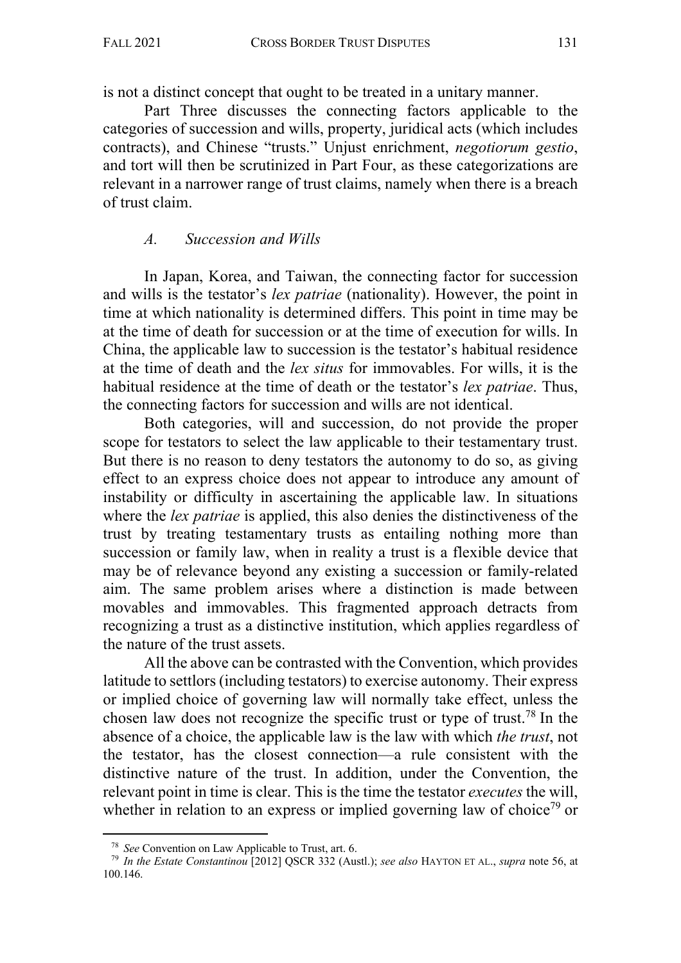is not a distinct concept that ought to be treated in a unitary manner.

Part Three discusses the connecting factors applicable to the categories of succession and wills, property, juridical acts (which includes contracts), and Chinese "trusts." Unjust enrichment, *negotiorum gestio*, and tort will then be scrutinized in Part Four, as these categorizations are relevant in a narrower range of trust claims, namely when there is a breach of trust claim.

### *A. Succession and Wills*

In Japan, Korea, and Taiwan, the connecting factor for succession and wills is the testator's *lex patriae* (nationality). However, the point in time at which nationality is determined differs. This point in time may be at the time of death for succession or at the time of execution for wills. In China, the applicable law to succession is the testator's habitual residence at the time of death and the *lex situs* for immovables. For wills, it is the habitual residence at the time of death or the testator's *lex patriae*. Thus, the connecting factors for succession and wills are not identical.

Both categories, will and succession, do not provide the proper scope for testators to select the law applicable to their testamentary trust. But there is no reason to deny testators the autonomy to do so, as giving effect to an express choice does not appear to introduce any amount of instability or difficulty in ascertaining the applicable law. In situations where the *lex patriae* is applied, this also denies the distinctiveness of the trust by treating testamentary trusts as entailing nothing more than succession or family law, when in reality a trust is a flexible device that may be of relevance beyond any existing a succession or family-related aim. The same problem arises where a distinction is made between movables and immovables. This fragmented approach detracts from recognizing a trust as a distinctive institution, which applies regardless of the nature of the trust assets.

All the above can be contrasted with the Convention, which provides latitude to settlors (including testators) to exercise autonomy. Their express or implied choice of governing law will normally take effect, unless the chosen law does not recognize the specific trust or type of trust.<sup>78</sup> In the absence of a choice, the applicable law is the law with which *the trust*, not the testator, has the closest connection—a rule consistent with the distinctive nature of the trust. In addition, under the Convention, the relevant point in time is clear. This is the time the testator *executes* the will, whether in relation to an express or implied governing law of choice<sup>79</sup> or

<sup>78</sup> *See* Convention on Law Applicable to Trust, art. 6.

<sup>79</sup> *In the Estate Constantinou* [2012] QSCR 332 (Austl.); *see also* HAYTON ET AL., *supra* note 56, at 100.146.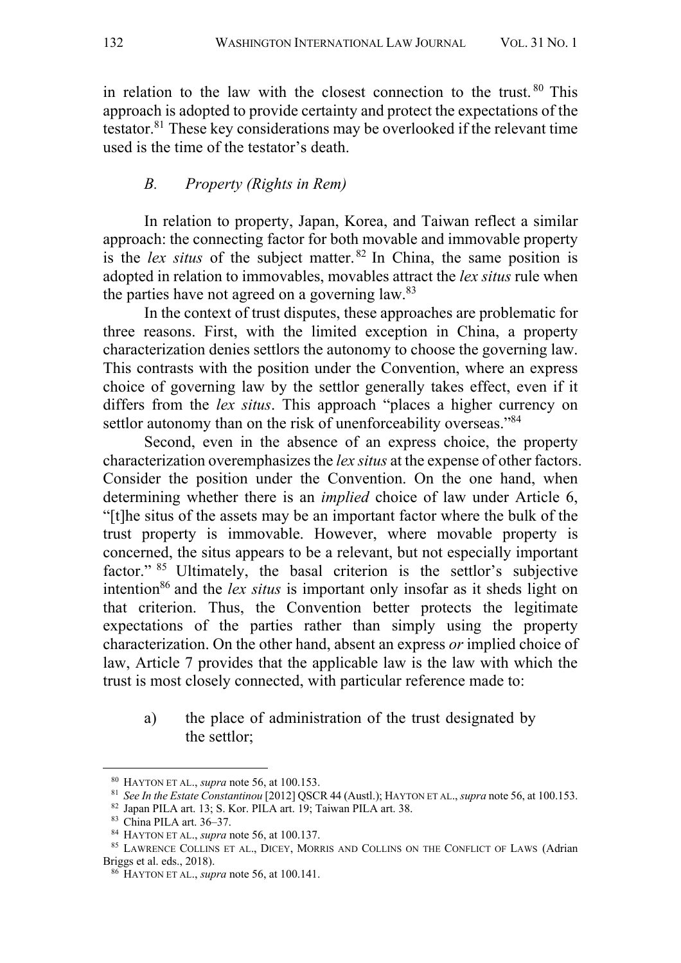in relation to the law with the closest connection to the trust.  $80$  This approach is adopted to provide certainty and protect the expectations of the testator. <sup>81</sup> These key considerations may be overlooked if the relevant time used is the time of the testator's death.

## *B. Property (Rights in Rem)*

In relation to property, Japan, Korea, and Taiwan reflect a similar approach: the connecting factor for both movable and immovable property is the *lex situs* of the subject matter. <sup>82</sup> In China, the same position is adopted in relation to immovables, movables attract the *lex situs* rule when the parties have not agreed on a governing law.<sup>83</sup>

In the context of trust disputes, these approaches are problematic for three reasons. First, with the limited exception in China, a property characterization denies settlors the autonomy to choose the governing law. This contrasts with the position under the Convention, where an express choice of governing law by the settlor generally takes effect, even if it differs from the *lex situs*. This approach "places a higher currency on settlor autonomy than on the risk of unenforceability overseas."<sup>84</sup>

Second, even in the absence of an express choice, the property characterization overemphasizes the *lex situs* at the expense of other factors. Consider the position under the Convention. On the one hand, when determining whether there is an *implied* choice of law under Article 6, "[t]he situs of the assets may be an important factor where the bulk of the trust property is immovable. However, where movable property is concerned, the situs appears to be a relevant, but not especially important factor." <sup>85</sup> Ultimately, the basal criterion is the settlor's subjective intention<sup>86</sup> and the *lex situs* is important only insofar as it sheds light on that criterion. Thus, the Convention better protects the legitimate expectations of the parties rather than simply using the property characterization. On the other hand, absent an express *or* implied choice of law, Article 7 provides that the applicable law is the law with which the trust is most closely connected, with particular reference made to:

a) the place of administration of the trust designated by the settlor;

<sup>80</sup> HAYTON ET AL., *supra* note 56, at 100.153.

<sup>81</sup> *See In the Estate Constantinou* [2012] QSCR 44 (Austl.); HAYTON ET AL., *supra* note 56, at 100.153.

<sup>82</sup> Japan PILA art. 13; S. Kor. PILA art. 19; Taiwan PILA art. 38. 83 China PILA art. 36–37.

<sup>84</sup> HAYTON ET AL., *supra* note 56, at 100.137.

<sup>85</sup> LAWRENCE COLLINS ET AL., DICEY, MORRIS AND COLLINS ON THE CONFLICT OF LAWS (Adrian Briggs et al. eds., 2018).

<sup>86</sup> HAYTON ET AL., *supra* note 56, at 100.141.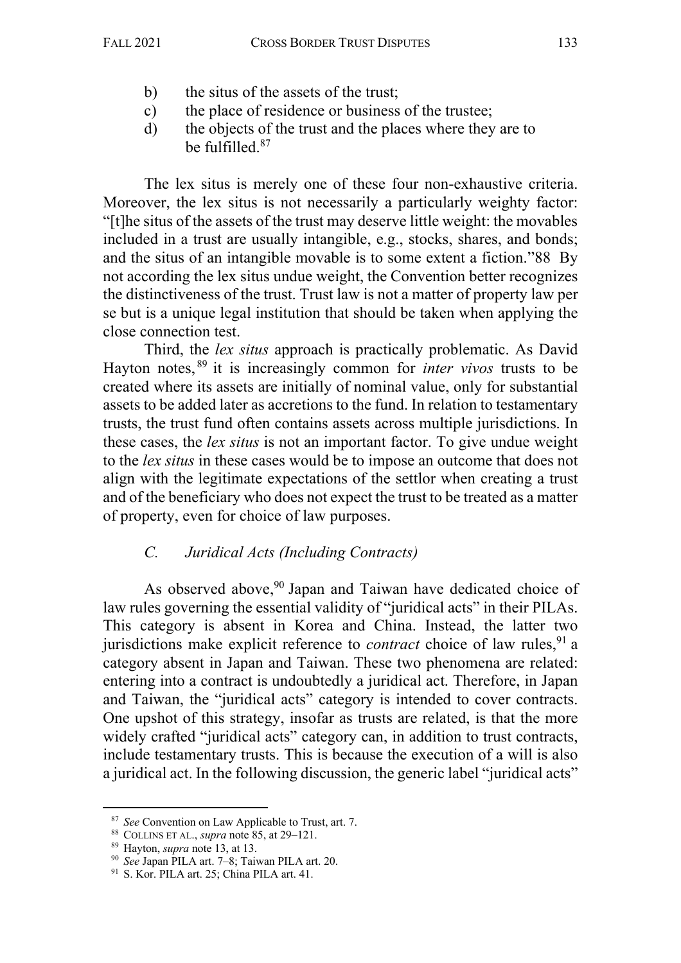- b) the situs of the assets of the trust;
- c) the place of residence or business of the trustee;
- d) the objects of the trust and the places where they are to be fulfilled.87

The lex situs is merely one of these four non-exhaustive criteria. Moreover, the lex situs is not necessarily a particularly weighty factor: "[t]he situs of the assets of the trust may deserve little weight: the movables included in a trust are usually intangible, e.g., stocks, shares, and bonds; and the situs of an intangible movable is to some extent a fiction."88 By not according the lex situs undue weight, the Convention better recognizes the distinctiveness of the trust. Trust law is not a matter of property law per se but is a unique legal institution that should be taken when applying the close connection test.

Third, the *lex situs* approach is practically problematic. As David Hayton notes, <sup>89</sup> it is increasingly common for *inter vivos* trusts to be created where its assets are initially of nominal value, only for substantial assets to be added later as accretions to the fund. In relation to testamentary trusts, the trust fund often contains assets across multiple jurisdictions. In these cases, the *lex situs* is not an important factor. To give undue weight to the *lex situs* in these cases would be to impose an outcome that does not align with the legitimate expectations of the settlor when creating a trust and of the beneficiary who does not expect the trust to be treated as a matter of property, even for choice of law purposes.

## *C. Juridical Acts (Including Contracts)*

As observed above,<sup>90</sup> Japan and Taiwan have dedicated choice of law rules governing the essential validity of "juridical acts" in their PILAs. This category is absent in Korea and China. Instead, the latter two jurisdictions make explicit reference to *contract* choice of law rules.<sup>91</sup> a category absent in Japan and Taiwan. These two phenomena are related: entering into a contract is undoubtedly a juridical act. Therefore, in Japan and Taiwan, the "juridical acts" category is intended to cover contracts. One upshot of this strategy, insofar as trusts are related, is that the more widely crafted "juridical acts" category can, in addition to trust contracts, include testamentary trusts. This is because the execution of a will is also a juridical act. In the following discussion, the generic label "juridical acts"

<sup>87</sup> *See* Convention on Law Applicable to Trust, art. 7.

<sup>88</sup> COLLINS ET AL., *supra* note 85, at 29–121.

<sup>89</sup> Hayton, *supra* note 13, at 13.

<sup>90</sup> *See* Japan PILA art. 7–8; Taiwan PILA art. 20.

<sup>&</sup>lt;sup>91</sup> S. Kor. PILA art. 25; China PILA art. 41.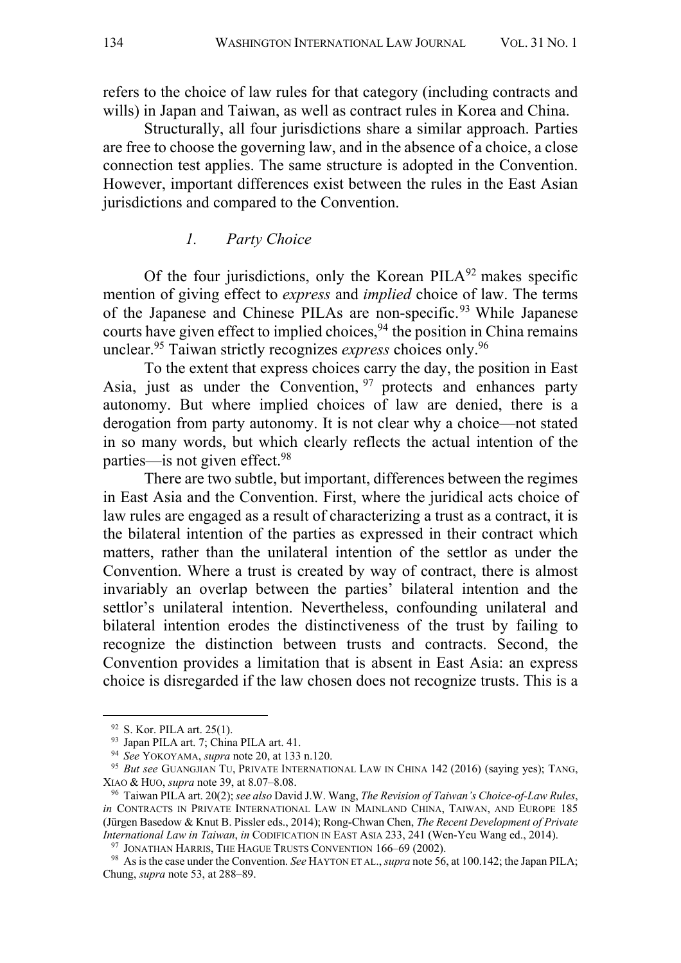refers to the choice of law rules for that category (including contracts and wills) in Japan and Taiwan, as well as contract rules in Korea and China.

Structurally, all four jurisdictions share a similar approach. Parties are free to choose the governing law, and in the absence of a choice, a close connection test applies. The same structure is adopted in the Convention. However, important differences exist between the rules in the East Asian jurisdictions and compared to the Convention.

#### *1. Party Choice*

Of the four jurisdictions, only the Korean  $PILA<sup>92</sup>$  makes specific mention of giving effect to *express* and *implied* choice of law. The terms of the Japanese and Chinese PILAs are non-specific.<sup>93</sup> While Japanese courts have given effect to implied choices, <sup>94</sup> the position in China remains unclear.95 Taiwan strictly recognizes *express* choices only.96

To the extent that express choices carry the day, the position in East Asia, just as under the Convention, <sup>97</sup> protects and enhances party autonomy. But where implied choices of law are denied, there is a derogation from party autonomy. It is not clear why a choice—not stated in so many words, but which clearly reflects the actual intention of the parties—is not given effect.<sup>98</sup>

There are two subtle, but important, differences between the regimes in East Asia and the Convention. First, where the juridical acts choice of law rules are engaged as a result of characterizing a trust as a contract, it is the bilateral intention of the parties as expressed in their contract which matters, rather than the unilateral intention of the settlor as under the Convention. Where a trust is created by way of contract, there is almost invariably an overlap between the parties' bilateral intention and the settlor's unilateral intention. Nevertheless, confounding unilateral and bilateral intention erodes the distinctiveness of the trust by failing to recognize the distinction between trusts and contracts. Second, the Convention provides a limitation that is absent in East Asia: an express choice is disregarded if the law chosen does not recognize trusts. This is a

<sup>&</sup>lt;sup>92</sup> S. Kor. PILA art. 25(1).

<sup>93</sup> Japan PILA art. 7; China PILA art. 41. 94 *See* YOKOYAMA, *supra* note 20, at 133 n.120.

<sup>95</sup> *But see* GUANGJIAN TU, PRIVATE INTERNATIONAL LAW IN CHINA 142 (2016) (saying yes); TANG, XIAO & HUO, *supra* note 39, at 8.07–8.08.

<sup>96</sup> Taiwan PILA art. 20(2); *see also* David J.W. Wang, *The Revision of Taiwan's Choice-of-Law Rules*, *in* CONTRACTS IN PRIVATE INTERNATIONAL LAW IN MAINLAND CHINA, TAIWAN, AND EUROPE 185 (Jürgen Basedow & Knut B. Pissler eds., 2014); Rong-Chwan Chen, *The Recent Development of Private International Law in Taiwan*, *in* CODIFICATION IN EAST ASIA 233, 241 (Wen-Yeu Wang ed., 2014).

<sup>&</sup>lt;sup>97</sup> JONATHAN HARRIS, THE HAGUE TRUSTS CONVENTION 166-69 (2002).

<sup>98</sup> As is the case under the Convention. *See* HAYTON ET AL., *supra* note 56, at 100.142; the Japan PILA; Chung, *supra* note 53, at 288–89.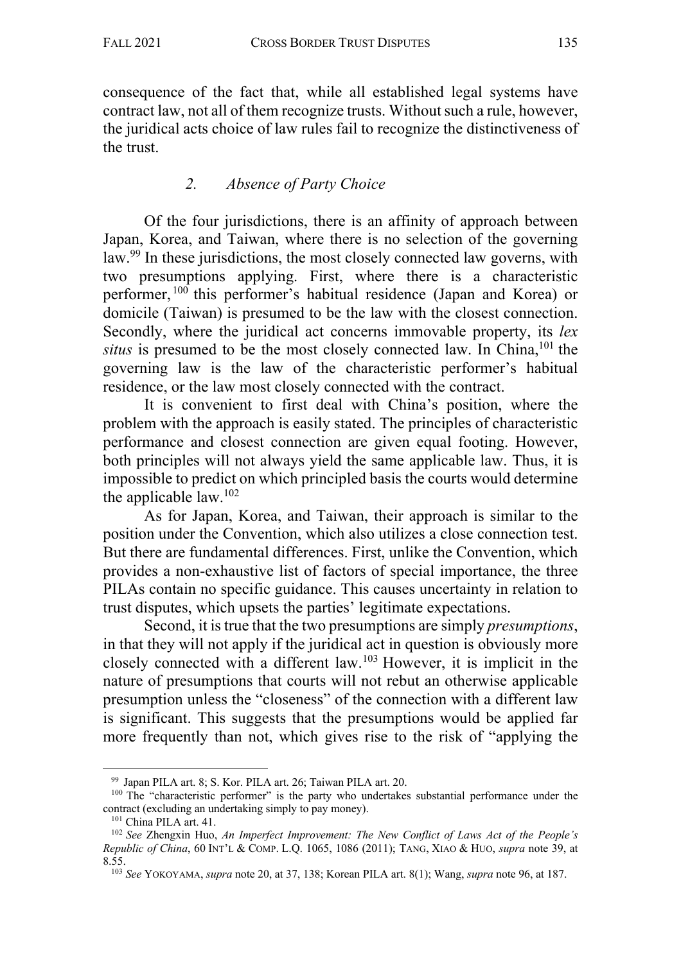consequence of the fact that, while all established legal systems have contract law, not all of them recognize trusts. Without such a rule, however, the juridical acts choice of law rules fail to recognize the distinctiveness of the trust.

# *2. Absence of Party Choice*

Of the four jurisdictions, there is an affinity of approach between Japan, Korea, and Taiwan, where there is no selection of the governing law.99 In these jurisdictions, the most closely connected law governs, with two presumptions applying. First, where there is a characteristic performer, <sup>100</sup> this performer's habitual residence (Japan and Korea) or domicile (Taiwan) is presumed to be the law with the closest connection. Secondly, where the juridical act concerns immovable property, its *lex situs* is presumed to be the most closely connected law. In China, <sup>101</sup> the governing law is the law of the characteristic performer's habitual residence, or the law most closely connected with the contract.

It is convenient to first deal with China's position, where the problem with the approach is easily stated. The principles of characteristic performance and closest connection are given equal footing. However, both principles will not always yield the same applicable law. Thus, it is impossible to predict on which principled basis the courts would determine the applicable law. $102$ 

As for Japan, Korea, and Taiwan, their approach is similar to the position under the Convention, which also utilizes a close connection test. But there are fundamental differences. First, unlike the Convention, which provides a non-exhaustive list of factors of special importance, the three PILAs contain no specific guidance. This causes uncertainty in relation to trust disputes, which upsets the parties' legitimate expectations.

Second, it is true that the two presumptions are simply *presumptions*, in that they will not apply if the juridical act in question is obviously more closely connected with a different law. <sup>103</sup> However, it is implicit in the nature of presumptions that courts will not rebut an otherwise applicable presumption unless the "closeness" of the connection with a different law is significant. This suggests that the presumptions would be applied far more frequently than not, which gives rise to the risk of "applying the

<sup>&</sup>lt;sup>99</sup> Japan PILA art. 8; S. Kor. PILA art. 26; Taiwan PILA art. 20.  $100$  The "characteristic performer" is the party who undertakes substantial performance under the contract (excluding an undertaking simply to pay money).<br><sup>101</sup> China PILA art. 41.

<sup>&</sup>lt;sup>102</sup> See Zhengxin Huo, *An Imperfect Improvement: The New Conflict of Laws Act of the People's Republic of China*, 60 INT'L & COMP. L.Q. 1065, 1086 (2011); TANG, XIAO & HUO, *supra* note 39, at 8.55.

<sup>103</sup> *See* YOKOYAMA, *supra* note 20, at 37, 138; Korean PILA art. 8(1); Wang, *supra* note 96, at 187.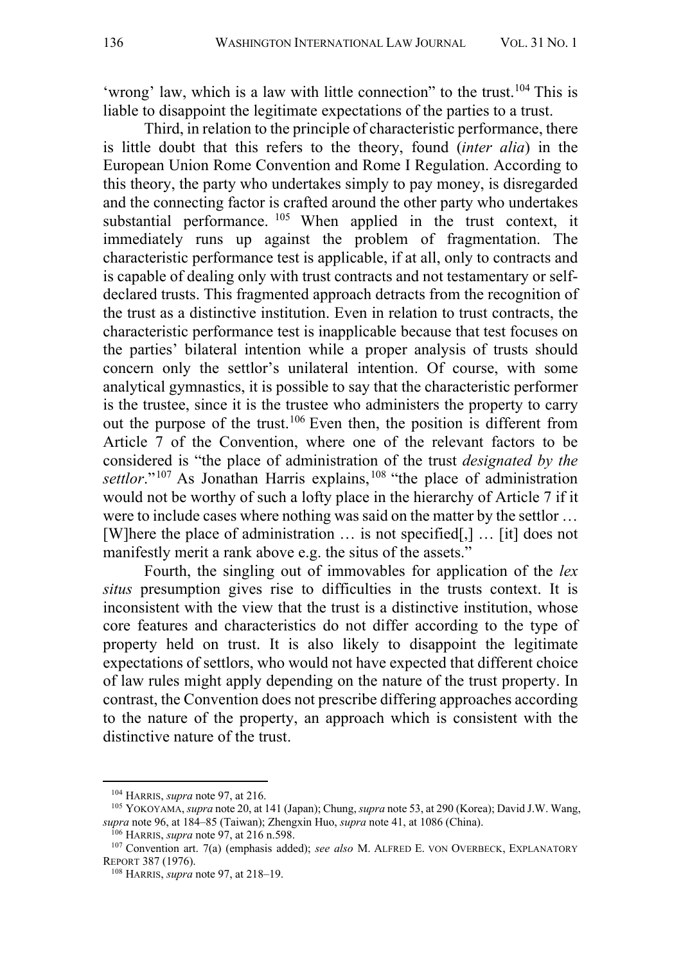'wrong' law, which is a law with little connection" to the trust.<sup>104</sup> This is liable to disappoint the legitimate expectations of the parties to a trust.

Third, in relation to the principle of characteristic performance, there is little doubt that this refers to the theory, found (*inter alia*) in the European Union Rome Convention and Rome I Regulation. According to this theory, the party who undertakes simply to pay money, is disregarded and the connecting factor is crafted around the other party who undertakes substantial performance. <sup>105</sup> When applied in the trust context, it immediately runs up against the problem of fragmentation. The characteristic performance test is applicable, if at all, only to contracts and is capable of dealing only with trust contracts and not testamentary or selfdeclared trusts. This fragmented approach detracts from the recognition of the trust as a distinctive institution. Even in relation to trust contracts, the characteristic performance test is inapplicable because that test focuses on the parties' bilateral intention while a proper analysis of trusts should concern only the settlor's unilateral intention. Of course, with some analytical gymnastics, it is possible to say that the characteristic performer is the trustee, since it is the trustee who administers the property to carry out the purpose of the trust.106 Even then, the position is different from Article 7 of the Convention, where one of the relevant factors to be considered is "the place of administration of the trust *designated by the settlor*."<sup>107</sup> As Jonathan Harris explains,<sup>108</sup> "the place of administration would not be worthy of such a lofty place in the hierarchy of Article 7 if it were to include cases where nothing was said on the matter by the settlor … [W]here the place of administration … is not specified[,] … [it] does not manifestly merit a rank above e.g. the situs of the assets."

Fourth, the singling out of immovables for application of the *lex situs* presumption gives rise to difficulties in the trusts context. It is inconsistent with the view that the trust is a distinctive institution, whose core features and characteristics do not differ according to the type of property held on trust. It is also likely to disappoint the legitimate expectations of settlors, who would not have expected that different choice of law rules might apply depending on the nature of the trust property. In contrast, the Convention does not prescribe differing approaches according to the nature of the property, an approach which is consistent with the distinctive nature of the trust.

<sup>104</sup> HARRIS, *supra* note 97, at 216.

<sup>105</sup> YOKOYAMA, *supra* note 20, at 141 (Japan); Chung, *supra* note 53, at 290 (Korea); David J.W. Wang, *supra* note 96, at 184–85 (Taiwan); Zhengxin Huo, *supra* note 41, at 1086 (China).

<sup>106</sup> HARRIS, *supra* note 97, at 216 n.598.

<sup>107</sup> Convention art. 7(a) (emphasis added); *see also* M. ALFRED E. VON OVERBECK, EXPLANATORY REPORT 387 (1976).

<sup>108</sup> HARRIS, *supra* note 97, at 218–19.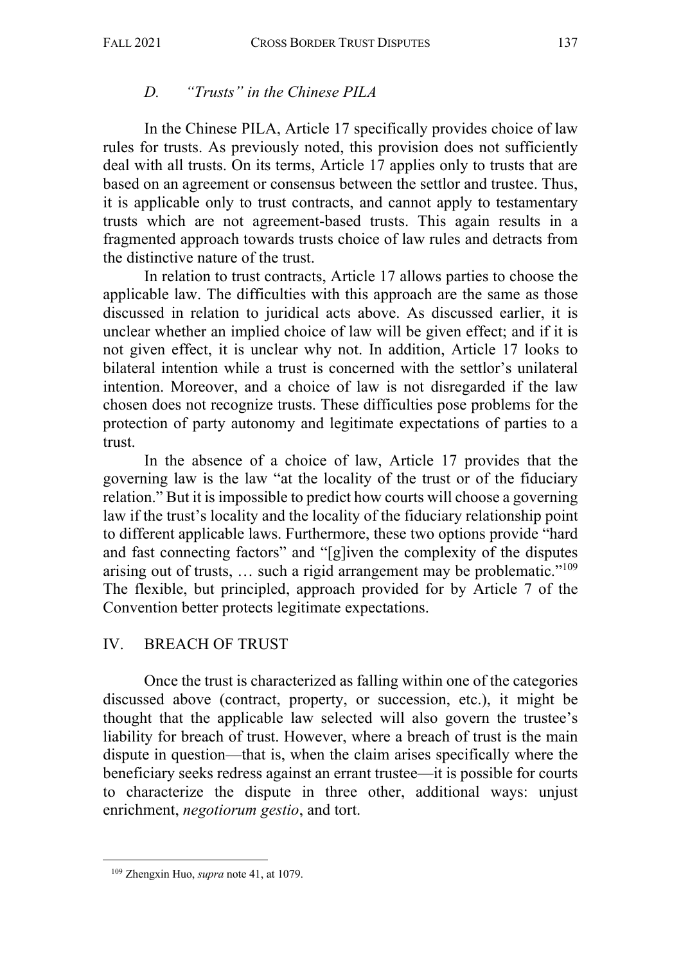## *D. "Trusts" in the Chinese PILA*

In the Chinese PILA, Article 17 specifically provides choice of law rules for trusts. As previously noted, this provision does not sufficiently deal with all trusts. On its terms, Article 17 applies only to trusts that are based on an agreement or consensus between the settlor and trustee. Thus, it is applicable only to trust contracts, and cannot apply to testamentary trusts which are not agreement-based trusts. This again results in a fragmented approach towards trusts choice of law rules and detracts from the distinctive nature of the trust.

In relation to trust contracts, Article 17 allows parties to choose the applicable law. The difficulties with this approach are the same as those discussed in relation to juridical acts above. As discussed earlier, it is unclear whether an implied choice of law will be given effect; and if it is not given effect, it is unclear why not. In addition, Article 17 looks to bilateral intention while a trust is concerned with the settlor's unilateral intention. Moreover, and a choice of law is not disregarded if the law chosen does not recognize trusts. These difficulties pose problems for the protection of party autonomy and legitimate expectations of parties to a trust.

In the absence of a choice of law, Article 17 provides that the governing law is the law "at the locality of the trust or of the fiduciary relation." But it is impossible to predict how courts will choose a governing law if the trust's locality and the locality of the fiduciary relationship point to different applicable laws. Furthermore, these two options provide "hard and fast connecting factors" and "[g]iven the complexity of the disputes arising out of trusts, … such a rigid arrangement may be problematic."109 The flexible, but principled, approach provided for by Article 7 of the Convention better protects legitimate expectations.

## IV. BREACH OF TRUST

Once the trust is characterized as falling within one of the categories discussed above (contract, property, or succession, etc.), it might be thought that the applicable law selected will also govern the trustee's liability for breach of trust. However, where a breach of trust is the main dispute in question—that is, when the claim arises specifically where the beneficiary seeks redress against an errant trustee—it is possible for courts to characterize the dispute in three other, additional ways: unjust enrichment, *negotiorum gestio*, and tort.

<sup>109</sup> Zhengxin Huo, *supra* note 41, at 1079.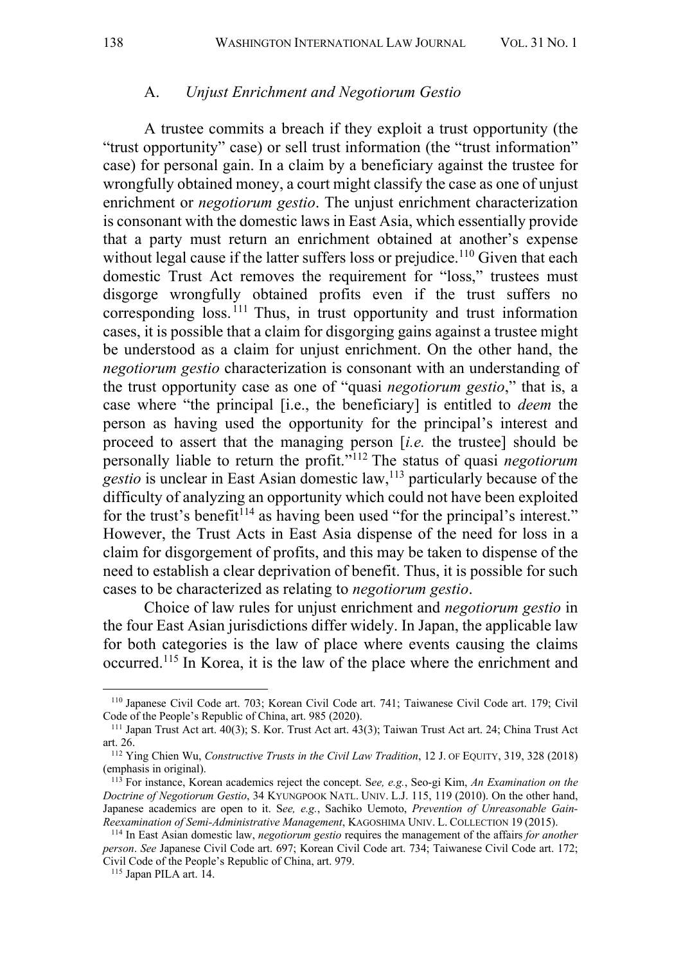#### A. *Unjust Enrichment and Negotiorum Gestio*

A trustee commits a breach if they exploit a trust opportunity (the "trust opportunity" case) or sell trust information (the "trust information" case) for personal gain. In a claim by a beneficiary against the trustee for wrongfully obtained money, a court might classify the case as one of unjust enrichment or *negotiorum gestio*. The unjust enrichment characterization is consonant with the domestic laws in East Asia, which essentially provide that a party must return an enrichment obtained at another's expense without legal cause if the latter suffers loss or prejudice.<sup>110</sup> Given that each domestic Trust Act removes the requirement for "loss," trustees must disgorge wrongfully obtained profits even if the trust suffers no corresponding loss. <sup>111</sup> Thus, in trust opportunity and trust information cases, it is possible that a claim for disgorging gains against a trustee might be understood as a claim for unjust enrichment. On the other hand, the *negotiorum gestio* characterization is consonant with an understanding of the trust opportunity case as one of "quasi *negotiorum gestio*," that is, a case where "the principal [i.e., the beneficiary] is entitled to *deem* the person as having used the opportunity for the principal's interest and proceed to assert that the managing person [*i.e.* the trustee] should be personally liable to return the profit."112 The status of quasi *negotiorum gestio* is unclear in East Asian domestic law, <sup>113</sup> particularly because of the difficulty of analyzing an opportunity which could not have been exploited for the trust's benefit<sup> $114$ </sup> as having been used "for the principal's interest." However, the Trust Acts in East Asia dispense of the need for loss in a claim for disgorgement of profits, and this may be taken to dispense of the need to establish a clear deprivation of benefit. Thus, it is possible for such cases to be characterized as relating to *negotiorum gestio*.

Choice of law rules for unjust enrichment and *negotiorum gestio* in the four East Asian jurisdictions differ widely. In Japan, the applicable law for both categories is the law of place where events causing the claims occurred.115 In Korea, it is the law of the place where the enrichment and

<sup>110</sup> Japanese Civil Code art. 703; Korean Civil Code art. 741; Taiwanese Civil Code art. 179; Civil Code of the People's Republic of China, art. 985 (2020).

<sup>111</sup> Japan Trust Act art. 40(3); S. Kor. Trust Act art. 43(3); Taiwan Trust Act art. 24; China Trust Act art. 26.

<sup>112</sup> Ying Chien Wu, *Constructive Trusts in the Civil Law Tradition*, 12 J. OF EQUITY, 319, 328 (2018) (emphasis in original).

<sup>113</sup> For instance, Korean academics reject the concept. S*ee, e.g.*, Seo-gi Kim, *An Examination on the Doctrine of Negotiorum Gestio*, 34 KYUNGPOOK NATL. UNIV. L.J. 115, 119 (2010). On the other hand, Japanese academics are open to it. S*ee, e.g.*, Sachiko Uemoto, *Prevention of Unreasonable Gain-Reexamination of Semi-Administrative Management*, KAGOSHIMA UNIV. L. COLLECTION 19 (2015).

<sup>114</sup> In East Asian domestic law, *negotiorum gestio* requires the management of the affairs *for another person*. *See* Japanese Civil Code art. 697; Korean Civil Code art. 734; Taiwanese Civil Code art. 172; Civil Code of the People's Republic of China, art. 979.

<sup>115</sup> Japan PILA art. 14.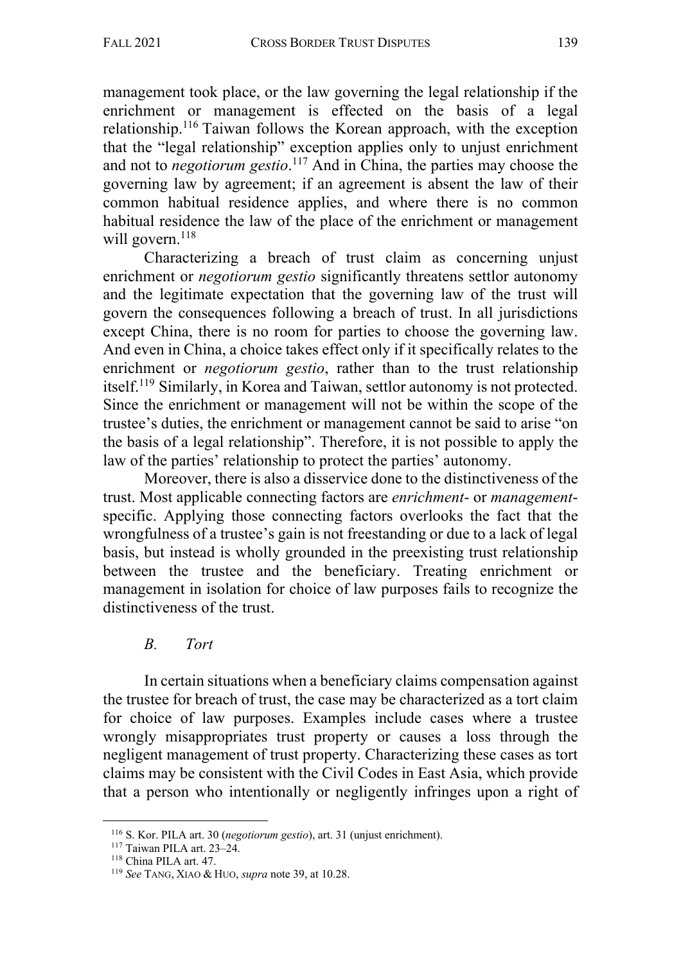management took place, or the law governing the legal relationship if the enrichment or management is effected on the basis of a legal relationship.116 Taiwan follows the Korean approach, with the exception that the "legal relationship" exception applies only to unjust enrichment and not to *negotiorum gestio*. <sup>117</sup> And in China, the parties may choose the governing law by agreement; if an agreement is absent the law of their common habitual residence applies, and where there is no common habitual residence the law of the place of the enrichment or management will govern. $118$ 

Characterizing a breach of trust claim as concerning unjust enrichment or *negotiorum gestio* significantly threatens settlor autonomy and the legitimate expectation that the governing law of the trust will govern the consequences following a breach of trust. In all jurisdictions except China, there is no room for parties to choose the governing law. And even in China, a choice takes effect only if it specifically relates to the enrichment or *negotiorum gestio*, rather than to the trust relationship itself. <sup>119</sup> Similarly, in Korea and Taiwan, settlor autonomy is not protected. Since the enrichment or management will not be within the scope of the trustee's duties, the enrichment or management cannot be said to arise "on the basis of a legal relationship". Therefore, it is not possible to apply the law of the parties' relationship to protect the parties' autonomy.

Moreover, there is also a disservice done to the distinctiveness of the trust. Most applicable connecting factors are *enrichment*- or *management*specific. Applying those connecting factors overlooks the fact that the wrongfulness of a trustee's gain is not freestanding or due to a lack of legal basis, but instead is wholly grounded in the preexisting trust relationship between the trustee and the beneficiary. Treating enrichment or management in isolation for choice of law purposes fails to recognize the distinctiveness of the trust.

## *B. Tort*

In certain situations when a beneficiary claims compensation against the trustee for breach of trust, the case may be characterized as a tort claim for choice of law purposes. Examples include cases where a trustee wrongly misappropriates trust property or causes a loss through the negligent management of trust property. Characterizing these cases as tort claims may be consistent with the Civil Codes in East Asia, which provide that a person who intentionally or negligently infringes upon a right of

<sup>116</sup> S. Kor. PILA art. 30 (*negotiorum gestio*), art. 31 (unjust enrichment).

<sup>117</sup> Taiwan PILA art. 23–24.

<sup>118</sup> China PILA art. 47.

<sup>119</sup> *See* TANG, XIAO & HUO, *supra* note 39, at 10.28.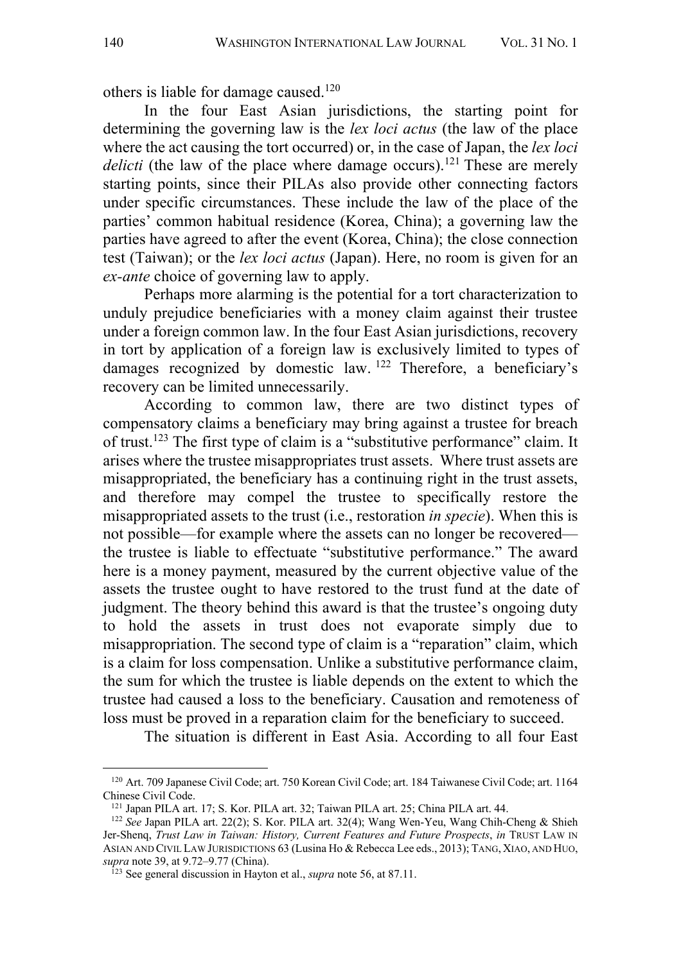others is liable for damage caused.<sup>120</sup>

In the four East Asian jurisdictions, the starting point for determining the governing law is the *lex loci actus* (the law of the place where the act causing the tort occurred) or, in the case of Japan, the *lex loci*  delicti (the law of the place where damage occurs).<sup>121</sup> These are merely starting points, since their PILAs also provide other connecting factors under specific circumstances. These include the law of the place of the parties' common habitual residence (Korea, China); a governing law the parties have agreed to after the event (Korea, China); the close connection test (Taiwan); or the *lex loci actus* (Japan). Here, no room is given for an *ex-ante* choice of governing law to apply.

Perhaps more alarming is the potential for a tort characterization to unduly prejudice beneficiaries with a money claim against their trustee under a foreign common law. In the four East Asian jurisdictions, recovery in tort by application of a foreign law is exclusively limited to types of damages recognized by domestic law. <sup>122</sup> Therefore, a beneficiary's recovery can be limited unnecessarily.

According to common law, there are two distinct types of compensatory claims a beneficiary may bring against a trustee for breach of trust.123 The first type of claim is a "substitutive performance" claim. It arises where the trustee misappropriates trust assets. Where trust assets are misappropriated, the beneficiary has a continuing right in the trust assets, and therefore may compel the trustee to specifically restore the misappropriated assets to the trust (i.e., restoration *in specie*). When this is not possible—for example where the assets can no longer be recovered the trustee is liable to effectuate "substitutive performance." The award here is a money payment, measured by the current objective value of the assets the trustee ought to have restored to the trust fund at the date of judgment. The theory behind this award is that the trustee's ongoing duty to hold the assets in trust does not evaporate simply due to misappropriation. The second type of claim is a "reparation" claim, which is a claim for loss compensation. Unlike a substitutive performance claim, the sum for which the trustee is liable depends on the extent to which the trustee had caused a loss to the beneficiary. Causation and remoteness of loss must be proved in a reparation claim for the beneficiary to succeed.

The situation is different in East Asia. According to all four East

<sup>120</sup> Art. 709 Japanese Civil Code; art. 750 Korean Civil Code; art. 184 Taiwanese Civil Code; art. 1164 Chinese Civil Code.

<sup>121</sup> Japan PILA art. 17; S. Kor. PILA art. 32; Taiwan PILA art. 25; China PILA art. 44.

<sup>122</sup> *See* Japan PILA art. 22(2); S. Kor. PILA art. 32(4); Wang Wen-Yeu, Wang Chih-Cheng & Shieh Jer-Shenq, *Trust Law in Taiwan: History, Current Features and Future Prospects*, *in* TRUST LAW IN ASIAN AND CIVIL LAW JURISDICTIONS 63 (Lusina Ho & Rebecca Lee eds., 2013); TANG, XIAO, AND HUO, *supra* note 39, at 9.72–9.77 (China).

<sup>123</sup> See general discussion in Hayton et al., *supra* note 56, at 87.11.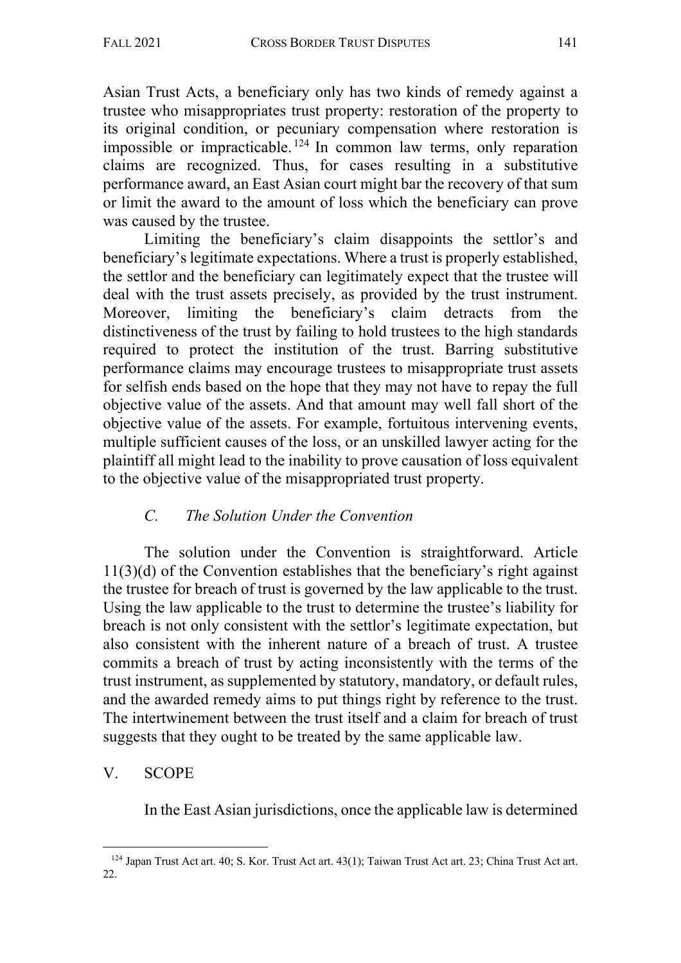Asian Trust Acts, a beneficiary only has two kinds of remedy against a trustee who misappropriates trust property: restoration of the property to its original condition, or pecuniary compensation where restoration is impossible or impracticable.<sup>124</sup> In common law terms, only reparation claims are recognized. Thus, for cases resulting in a substitutive performance award, an East Asian court might bar the recovery of that sum or limit the award to the amount of loss which the beneficiary can prove was caused by the trustee.

Limiting the beneficiary's claim disappoints the settlor's and beneficiary's legitimate expectations. Where a trust is properly established, the settlor and the beneficiary can legitimately expect that the trustee will deal with the trust assets precisely, as provided by the trust instrument. Moreover, limiting the beneficiary's claim detracts from the distinctiveness of the trust by failing to hold trustees to the high standards required to protect the institution of the trust. Barring substitutive performance claims may encourage trustees to misappropriate trust assets for selfish ends based on the hope that they may not have to repay the full objective value of the assets. And that amount may well fall short of the objective value of the assets. For example, fortuitous intervening events, multiple sufficient causes of the loss, or an unskilled lawyer acting for the plaintiff all might lead to the inability to prove causation of loss equivalent to the objective value of the misappropriated trust property.

# *C. The Solution Under the Convention*

The solution under the Convention is straightforward. Article 11(3)(d) of the Convention establishes that the beneficiary's right against the trustee for breach of trust is governed by the law applicable to the trust. Using the law applicable to the trust to determine the trustee's liability for breach is not only consistent with the settlor's legitimate expectation, but also consistent with the inherent nature of a breach of trust. A trustee commits a breach of trust by acting inconsistently with the terms of the trust instrument, as supplemented by statutory, mandatory, or default rules, and the awarded remedy aims to put things right by reference to the trust. The intertwinement between the trust itself and a claim for breach of trust suggests that they ought to be treated by the same applicable law.

# V. SCOPE

In the East Asian jurisdictions, once the applicable law is determined

<sup>124</sup> Japan Trust Act art. 40; S. Kor. Trust Act art. 43(1); Taiwan Trust Act art. 23; China Trust Act art. 22.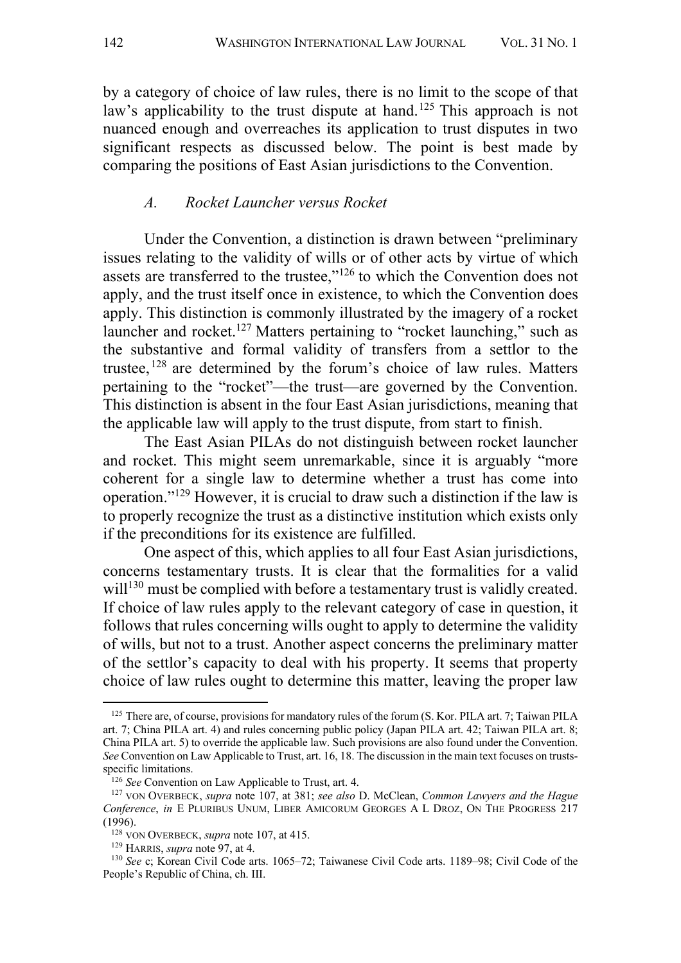by a category of choice of law rules, there is no limit to the scope of that law's applicability to the trust dispute at hand.<sup>125</sup> This approach is not nuanced enough and overreaches its application to trust disputes in two significant respects as discussed below. The point is best made by comparing the positions of East Asian jurisdictions to the Convention.

#### *A. Rocket Launcher versus Rocket*

Under the Convention, a distinction is drawn between "preliminary issues relating to the validity of wills or of other acts by virtue of which assets are transferred to the trustee,"126 to which the Convention does not apply, and the trust itself once in existence, to which the Convention does apply. This distinction is commonly illustrated by the imagery of a rocket launcher and rocket.<sup>127</sup> Matters pertaining to "rocket launching," such as the substantive and formal validity of transfers from a settlor to the trustee, <sup>128</sup> are determined by the forum's choice of law rules. Matters pertaining to the "rocket"—the trust—are governed by the Convention. This distinction is absent in the four East Asian jurisdictions, meaning that the applicable law will apply to the trust dispute, from start to finish.

The East Asian PILAs do not distinguish between rocket launcher and rocket. This might seem unremarkable, since it is arguably "more coherent for a single law to determine whether a trust has come into operation."129 However, it is crucial to draw such a distinction if the law is to properly recognize the trust as a distinctive institution which exists only if the preconditions for its existence are fulfilled.

One aspect of this, which applies to all four East Asian jurisdictions, concerns testamentary trusts. It is clear that the formalities for a valid will<sup>130</sup> must be complied with before a testamentary trust is validly created. If choice of law rules apply to the relevant category of case in question, it follows that rules concerning wills ought to apply to determine the validity of wills, but not to a trust. Another aspect concerns the preliminary matter of the settlor's capacity to deal with his property. It seems that property choice of law rules ought to determine this matter, leaving the proper law

<sup>&</sup>lt;sup>125</sup> There are, of course, provisions for mandatory rules of the forum (S. Kor. PILA art. 7; Taiwan PILA art. 7; China PILA art. 4) and rules concerning public policy (Japan PILA art. 42; Taiwan PILA art. 8; China PILA art. 5) to override the applicable law. Such provisions are also found under the Convention. *See* Convention on Law Applicable to Trust, art. 16, 18. The discussion in the main text focuses on trustsspecific limitations.

<sup>126</sup> *See* Convention on Law Applicable to Trust, art. 4.

<sup>127</sup> VON OVERBECK, *supra* note 107, at 381; *see also* D. McClean, *Common Lawyers and the Hague Conference*, *in* E PLURIBUS UNUM, LIBER AMICORUM GEORGES A L DROZ, ON THE PROGRESS 217 (1996).

<sup>128</sup> VON OVERBECK, *supra* note 107, at 415.

<sup>129</sup> HARRIS, *supra* note 97, at 4.

<sup>130</sup> *See* c; Korean Civil Code arts. 1065–72; Taiwanese Civil Code arts. 1189–98; Civil Code of the People's Republic of China, ch. III.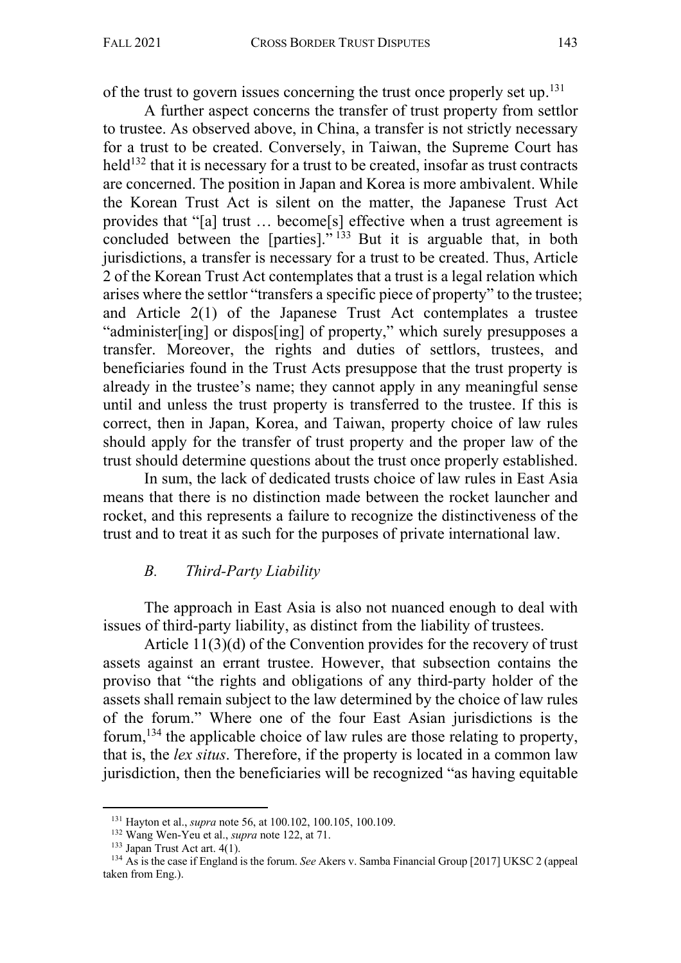of the trust to govern issues concerning the trust once properly set up. $^{131}$ 

A further aspect concerns the transfer of trust property from settlor to trustee. As observed above, in China, a transfer is not strictly necessary for a trust to be created. Conversely, in Taiwan, the Supreme Court has held<sup>132</sup> that it is necessary for a trust to be created, insofar as trust contracts are concerned. The position in Japan and Korea is more ambivalent. While the Korean Trust Act is silent on the matter, the Japanese Trust Act provides that "[a] trust … become[s] effective when a trust agreement is concluded between the [parties]."<sup>133</sup> But it is arguable that, in both jurisdictions, a transfer is necessary for a trust to be created. Thus, Article 2 of the Korean Trust Act contemplates that a trust is a legal relation which arises where the settlor "transfers a specific piece of property" to the trustee; and Article 2(1) of the Japanese Trust Act contemplates a trustee "administer[ing] or dispos[ing] of property," which surely presupposes a transfer. Moreover, the rights and duties of settlors, trustees, and beneficiaries found in the Trust Acts presuppose that the trust property is already in the trustee's name; they cannot apply in any meaningful sense until and unless the trust property is transferred to the trustee. If this is correct, then in Japan, Korea, and Taiwan, property choice of law rules should apply for the transfer of trust property and the proper law of the trust should determine questions about the trust once properly established.

In sum, the lack of dedicated trusts choice of law rules in East Asia means that there is no distinction made between the rocket launcher and rocket, and this represents a failure to recognize the distinctiveness of the trust and to treat it as such for the purposes of private international law.

#### *B. Third-Party Liability*

The approach in East Asia is also not nuanced enough to deal with issues of third-party liability, as distinct from the liability of trustees.

Article 11(3)(d) of the Convention provides for the recovery of trust assets against an errant trustee. However, that subsection contains the proviso that "the rights and obligations of any third-party holder of the assets shall remain subject to the law determined by the choice of law rules of the forum." Where one of the four East Asian jurisdictions is the forum,<sup>134</sup> the applicable choice of law rules are those relating to property, that is, the *lex situs*. Therefore, if the property is located in a common law jurisdiction, then the beneficiaries will be recognized "as having equitable

<sup>131</sup> Hayton et al., *supra* note 56, at 100.102, 100.105, 100.109.

<sup>132</sup> Wang Wen-Yeu et al., *supra* note 122, at 71.

<sup>&</sup>lt;sup>133</sup> Japan Trust Act art. 4(1).<br><sup>134</sup> As is the case if England is the forum. *See* Akers v. Samba Financial Group [2017] UKSC 2 (appeal taken from Eng.).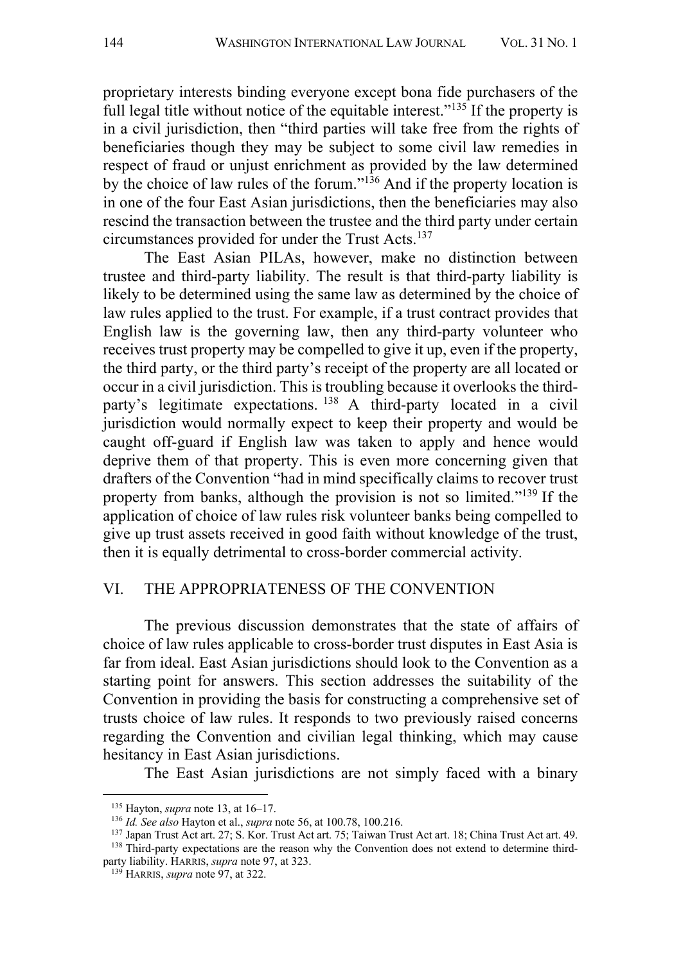proprietary interests binding everyone except bona fide purchasers of the full legal title without notice of the equitable interest."<sup>135</sup> If the property is in a civil jurisdiction, then "third parties will take free from the rights of beneficiaries though they may be subject to some civil law remedies in respect of fraud or unjust enrichment as provided by the law determined by the choice of law rules of the forum."136 And if the property location is in one of the four East Asian jurisdictions, then the beneficiaries may also rescind the transaction between the trustee and the third party under certain circumstances provided for under the Trust Acts.137

The East Asian PILAs, however, make no distinction between trustee and third-party liability. The result is that third-party liability is likely to be determined using the same law as determined by the choice of law rules applied to the trust. For example, if a trust contract provides that English law is the governing law, then any third-party volunteer who receives trust property may be compelled to give it up, even if the property, the third party, or the third party's receipt of the property are all located or occur in a civil jurisdiction. This is troubling because it overlooks the thirdparty's legitimate expectations. <sup>138</sup> A third-party located in a civil jurisdiction would normally expect to keep their property and would be caught off-guard if English law was taken to apply and hence would deprive them of that property. This is even more concerning given that drafters of the Convention "had in mind specifically claims to recover trust property from banks, although the provision is not so limited."139 If the application of choice of law rules risk volunteer banks being compelled to give up trust assets received in good faith without knowledge of the trust, then it is equally detrimental to cross-border commercial activity.

### VI. THE APPROPRIATENESS OF THE CONVENTION

The previous discussion demonstrates that the state of affairs of choice of law rules applicable to cross-border trust disputes in East Asia is far from ideal. East Asian jurisdictions should look to the Convention as a starting point for answers. This section addresses the suitability of the Convention in providing the basis for constructing a comprehensive set of trusts choice of law rules. It responds to two previously raised concerns regarding the Convention and civilian legal thinking, which may cause hesitancy in East Asian jurisdictions.

The East Asian jurisdictions are not simply faced with a binary

<sup>135</sup> Hayton, *supra* note 13, at 16–17.

<sup>136</sup> *Id. See also* Hayton et al., *supra* note 56, at 100.78, 100.216.

<sup>137</sup> Japan Trust Act art. 27; S. Kor. Trust Act art. 75; Taiwan Trust Act art. 18; China Trust Act art. 49. <sup>138</sup> Third-party expectations are the reason why the Convention does not extend to determine third-

party liability. HARRIS, *supra* note 97, at 323.

<sup>139</sup> HARRIS, *supra* note 97, at 322.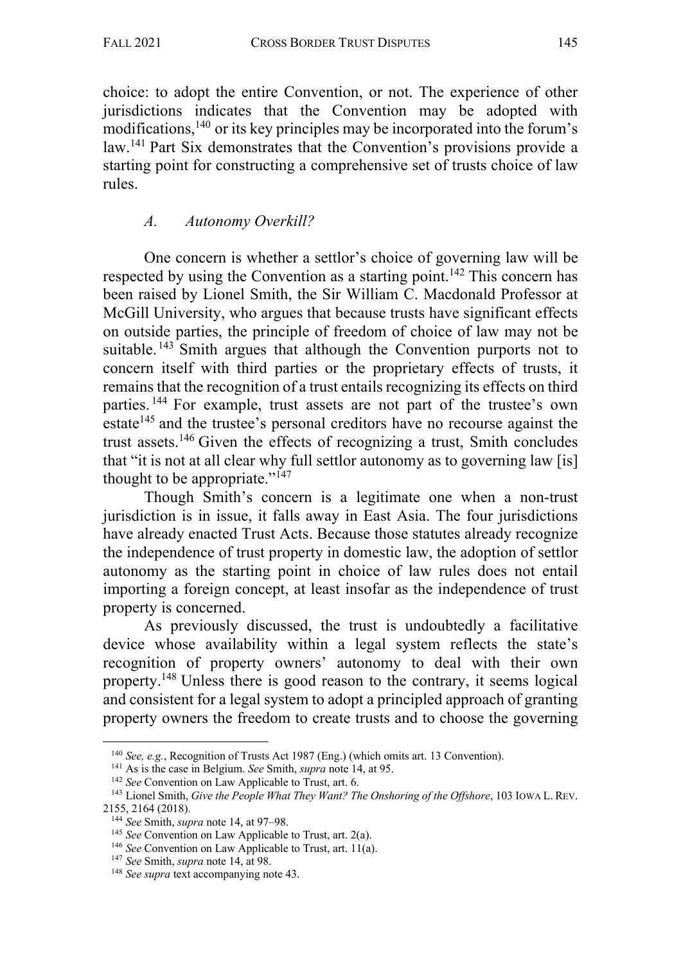choice: to adopt the entire Convention, or not. The experience of other jurisdictions indicates that the Convention may be adopted with modifications, <sup>140</sup> or its key principles may be incorporated into the forum's law.141 Part Six demonstrates that the Convention's provisions provide a starting point for constructing a comprehensive set of trusts choice of law rules.

# *A. Autonomy Overkill?*

One concern is whether a settlor's choice of governing law will be respected by using the Convention as a starting point.<sup>142</sup> This concern has been raised by Lionel Smith, the Sir William C. Macdonald Professor at McGill University, who argues that because trusts have significant effects on outside parties, the principle of freedom of choice of law may not be suitable.<sup>143</sup> Smith argues that although the Convention purports not to concern itself with third parties or the proprietary effects of trusts, it remains that the recognition of a trust entails recognizing its effects on third parties. <sup>144</sup> For example, trust assets are not part of the trustee's own estate<sup>145</sup> and the trustee's personal creditors have no recourse against the trust assets.146 Given the effects of recognizing a trust, Smith concludes that "it is not at all clear why full settlor autonomy as to governing law [is] thought to be appropriate."147

Though Smith's concern is a legitimate one when a non-trust jurisdiction is in issue, it falls away in East Asia. The four jurisdictions have already enacted Trust Acts. Because those statutes already recognize the independence of trust property in domestic law, the adoption of settlor autonomy as the starting point in choice of law rules does not entail importing a foreign concept, at least insofar as the independence of trust property is concerned.

As previously discussed, the trust is undoubtedly a facilitative device whose availability within a legal system reflects the state's recognition of property owners' autonomy to deal with their own property.<sup>148</sup> Unless there is good reason to the contrary, it seems logical and consistent for a legal system to adopt a principled approach of granting property owners the freedom to create trusts and to choose the governing

<sup>140</sup> *See, e.g.*, Recognition of Trusts Act 1987 (Eng.) (which omits art. 13 Convention).

<sup>141</sup> As is the case in Belgium. *See* Smith, *supra* note 14, at 95.

<sup>142</sup> *See* Convention on Law Applicable to Trust, art. 6.

<sup>&</sup>lt;sup>143</sup> Lionel Smith, *Give the People What They Want? The Onshoring of the Offshore*, 103 IOWA L. REV. 2155, 2164 (2018).

<sup>144</sup> *See* Smith, *supra* note 14, at 97–98.

<sup>145</sup> *See* Convention on Law Applicable to Trust, art. 2(a).

<sup>146</sup> *See* Convention on Law Applicable to Trust, art. 11(a).

<sup>147</sup> *See* Smith, *supra* note 14, at 98.

<sup>148</sup> *See supra* text accompanying note 43.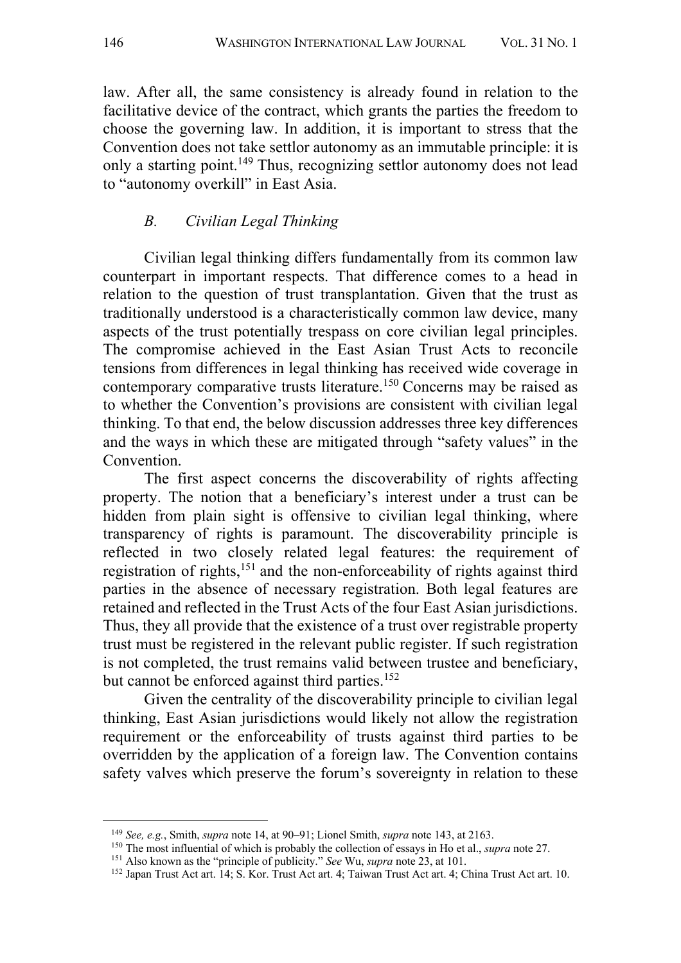law. After all, the same consistency is already found in relation to the facilitative device of the contract, which grants the parties the freedom to choose the governing law. In addition, it is important to stress that the Convention does not take settlor autonomy as an immutable principle: it is only a starting point.149 Thus, recognizing settlor autonomy does not lead to "autonomy overkill" in East Asia.

## *B. Civilian Legal Thinking*

Civilian legal thinking differs fundamentally from its common law counterpart in important respects. That difference comes to a head in relation to the question of trust transplantation. Given that the trust as traditionally understood is a characteristically common law device, many aspects of the trust potentially trespass on core civilian legal principles. The compromise achieved in the East Asian Trust Acts to reconcile tensions from differences in legal thinking has received wide coverage in contemporary comparative trusts literature. <sup>150</sup> Concerns may be raised as to whether the Convention's provisions are consistent with civilian legal thinking. To that end, the below discussion addresses three key differences and the ways in which these are mitigated through "safety values" in the Convention.

The first aspect concerns the discoverability of rights affecting property. The notion that a beneficiary's interest under a trust can be hidden from plain sight is offensive to civilian legal thinking, where transparency of rights is paramount. The discoverability principle is reflected in two closely related legal features: the requirement of registration of rights,151 and the non-enforceability of rights against third parties in the absence of necessary registration. Both legal features are retained and reflected in the Trust Acts of the four East Asian jurisdictions. Thus, they all provide that the existence of a trust over registrable property trust must be registered in the relevant public register. If such registration is not completed, the trust remains valid between trustee and beneficiary, but cannot be enforced against third parties.<sup>152</sup>

Given the centrality of the discoverability principle to civilian legal thinking, East Asian jurisdictions would likely not allow the registration requirement or the enforceability of trusts against third parties to be overridden by the application of a foreign law. The Convention contains safety valves which preserve the forum's sovereignty in relation to these

<sup>149</sup> *See, e.g.*, Smith, *supra* note 14, at 90–91; Lionel Smith, *supra* note 143, at 2163.

<sup>&</sup>lt;sup>150</sup> The most influential of which is probably the collection of essays in Ho et al., *supra* note 27.<br><sup>151</sup> Also known as the "principle of publicity." *See* Wu, *supra* note 23, at 101.

<sup>152</sup> Japan Trust Act art. 14; S. Kor. Trust Act art. 4; Taiwan Trust Act art. 4; China Trust Act art. 10.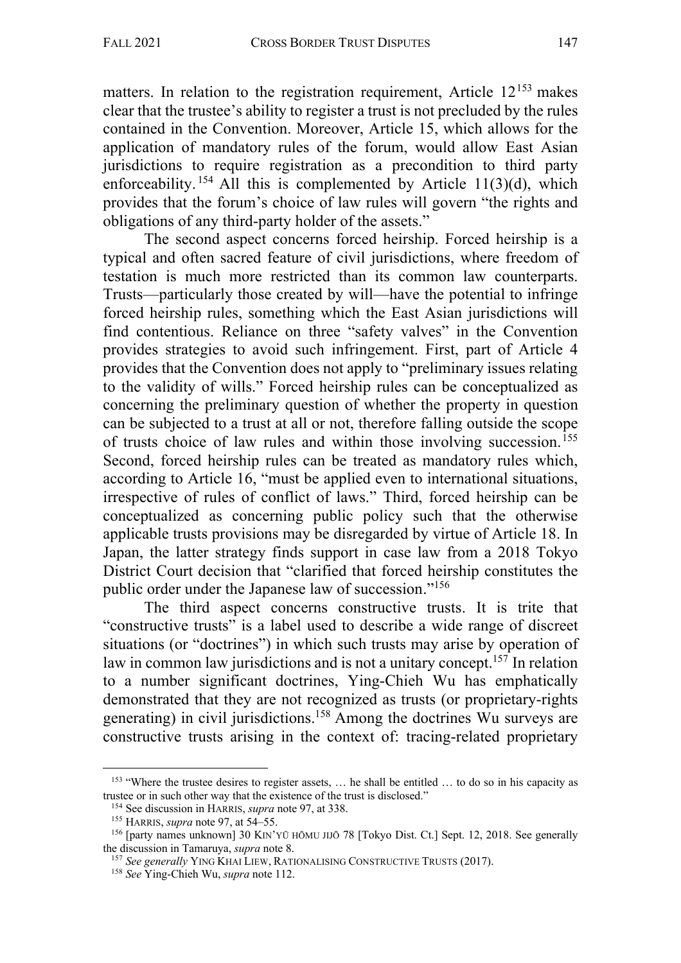matters. In relation to the registration requirement, Article  $12^{153}$  makes clear that the trustee's ability to register a trust is not precluded by the rules contained in the Convention. Moreover, Article 15, which allows for the application of mandatory rules of the forum, would allow East Asian jurisdictions to require registration as a precondition to third party enforceability.  $154$  All this is complemented by Article 11(3)(d), which provides that the forum's choice of law rules will govern "the rights and obligations of any third-party holder of the assets."

The second aspect concerns forced heirship. Forced heirship is a typical and often sacred feature of civil jurisdictions, where freedom of testation is much more restricted than its common law counterparts. Trusts—particularly those created by will—have the potential to infringe forced heirship rules, something which the East Asian jurisdictions will find contentious. Reliance on three "safety valves" in the Convention provides strategies to avoid such infringement. First, part of Article 4 provides that the Convention does not apply to "preliminary issues relating to the validity of wills." Forced heirship rules can be conceptualized as concerning the preliminary question of whether the property in question can be subjected to a trust at all or not, therefore falling outside the scope of trusts choice of law rules and within those involving succession.155 Second, forced heirship rules can be treated as mandatory rules which, according to Article 16, "must be applied even to international situations, irrespective of rules of conflict of laws." Third, forced heirship can be conceptualized as concerning public policy such that the otherwise applicable trusts provisions may be disregarded by virtue of Article 18. In Japan, the latter strategy finds support in case law from a 2018 Tokyo District Court decision that "clarified that forced heirship constitutes the public order under the Japanese law of succession."156

The third aspect concerns constructive trusts. It is trite that "constructive trusts" is a label used to describe a wide range of discreet situations (or "doctrines") in which such trusts may arise by operation of law in common law jurisdictions and is not a unitary concept.<sup>157</sup> In relation to a number significant doctrines, Ying-Chieh Wu has emphatically demonstrated that they are not recognized as trusts (or proprietary-rights generating) in civil jurisdictions.158 Among the doctrines Wu surveys are constructive trusts arising in the context of: tracing-related proprietary

<sup>&</sup>lt;sup>153</sup> "Where the trustee desires to register assets, ... he shall be entitled ... to do so in his capacity as trustee or in such other way that the existence of the trust is disclosed."

<sup>154</sup> See discussion in HARRIS, *supra* note 97, at 338.

<sup>155</sup> HARRIS, *supra* note 97, at 54–55.

<sup>156</sup> [party names unknown] 30 KIN'YŪ HŌMU JIJŌ 78 [Tokyo Dist. Ct.] Sept. 12, 2018. See generally the discussion in Tamaruya, *supra* note 8.

<sup>&</sup>lt;sup>157</sup> See generally YING KHAI LIEW, RATIONALISING CONSTRUCTIVE TRUSTS (2017).

<sup>158</sup> *See* Ying-Chieh Wu, *supra* note 112.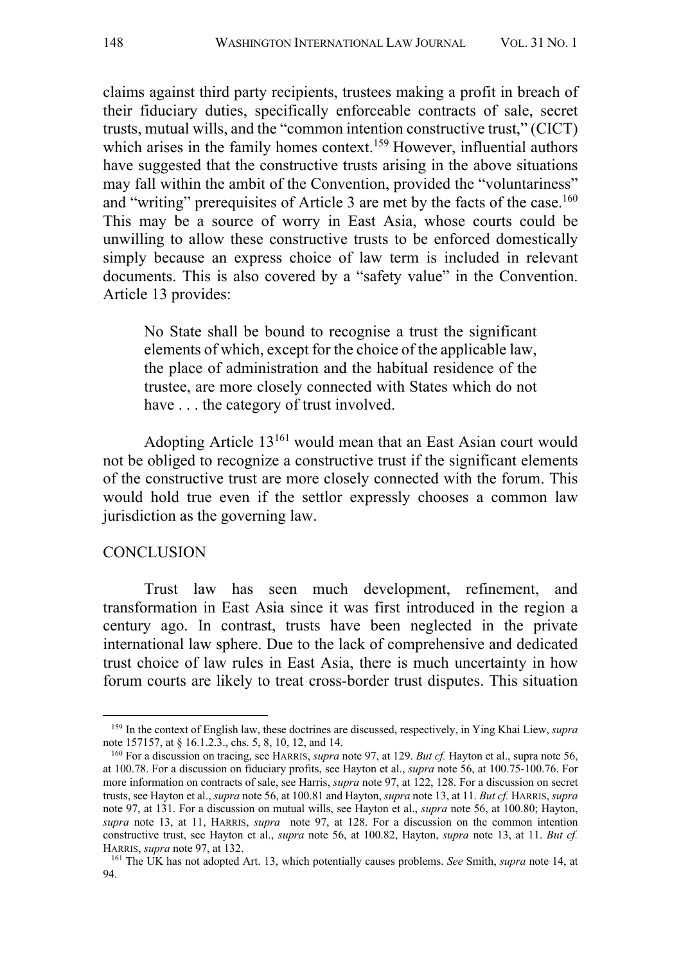claims against third party recipients, trustees making a profit in breach of their fiduciary duties, specifically enforceable contracts of sale, secret trusts, mutual wills, and the "common intention constructive trust," (CICT) which arises in the family homes context.<sup>159</sup> However, influential authors have suggested that the constructive trusts arising in the above situations may fall within the ambit of the Convention, provided the "voluntariness" and "writing" prerequisites of Article 3 are met by the facts of the case.<sup>160</sup> This may be a source of worry in East Asia, whose courts could be unwilling to allow these constructive trusts to be enforced domestically simply because an express choice of law term is included in relevant documents. This is also covered by a "safety value" in the Convention. Article 13 provides:

No State shall be bound to recognise a trust the significant elements of which, except for the choice of the applicable law, the place of administration and the habitual residence of the trustee, are more closely connected with States which do not have . . . the category of trust involved.

Adopting Article 13161 would mean that an East Asian court would not be obliged to recognize a constructive trust if the significant elements of the constructive trust are more closely connected with the forum. This would hold true even if the settlor expressly chooses a common law jurisdiction as the governing law.

#### **CONCLUSION**

Trust law has seen much development, refinement, and transformation in East Asia since it was first introduced in the region a century ago. In contrast, trusts have been neglected in the private international law sphere. Due to the lack of comprehensive and dedicated trust choice of law rules in East Asia, there is much uncertainty in how forum courts are likely to treat cross-border trust disputes. This situation

<sup>159</sup> In the context of English law, these doctrines are discussed, respectively, in Ying Khai Liew, *supra*  note 157157, at § 16.1.2.3., chs. 5, 8, 10, 12, and 14.

<sup>160</sup> For a discussion on tracing, see HARRIS, *supra* note 97, at 129. *But cf.* Hayton et al., supra note 56, at 100.78. For a discussion on fiduciary profits, see Hayton et al., *supra* note 56, at 100.75-100.76. For more information on contracts of sale, see Harris, *supra* note 97, at 122, 128. For a discussion on secret trusts, see Hayton et al., *supra* note 56, at 100.81 and Hayton, *supra* note 13, at 11. *But cf.* HARRIS, *supra*  note 97, at 131. For a discussion on mutual wills, see Hayton et al., *supra* note 56, at 100.80; Hayton, *supra* note 13, at 11, HARRIS, *supra* note 97, at 128. For a discussion on the common intention constructive trust, see Hayton et al., *supra* note 56, at 100.82, Hayton, *supra* note 13, at 11. *But cf.* HARRIS, *supra* note 97, at 132.

<sup>161</sup> The UK has not adopted Art. 13, which potentially causes problems. *See* Smith, *supra* note 14, at 94.